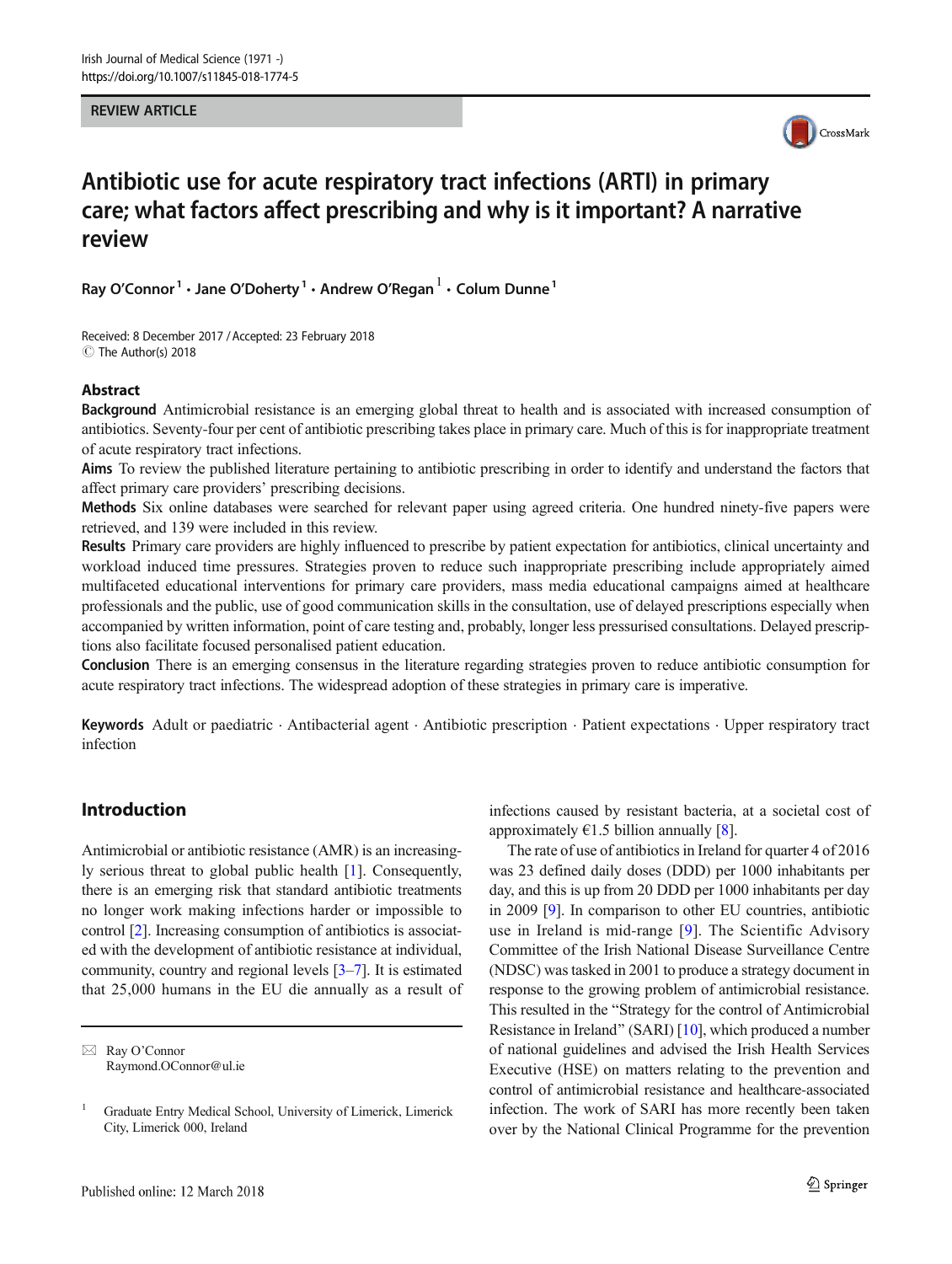REVIEW ARTICLE



# Antibiotic use for acute respiratory tract infections (ARTI) in primary care; what factors affect prescribing and why is it important? A narrative review

Ray O'Connor<sup>1</sup>  $\cdot$  Jane O'Doherty<sup>1</sup>  $\cdot$  Andrew O'Regan<sup>1</sup>  $\cdot$  Colum Dunne<sup>1</sup>

Received: 8 December 2017 /Accepted: 23 February 2018  $\circledcirc$  The Author(s) 2018

### Abstract

Background Antimicrobial resistance is an emerging global threat to health and is associated with increased consumption of antibiotics. Seventy-four per cent of antibiotic prescribing takes place in primary care. Much of this is for inappropriate treatment of acute respiratory tract infections.

Aims To review the published literature pertaining to antibiotic prescribing in order to identify and understand the factors that affect primary care providers' prescribing decisions.

Methods Six online databases were searched for relevant paper using agreed criteria. One hundred ninety-five papers were retrieved, and 139 were included in this review.

Results Primary care providers are highly influenced to prescribe by patient expectation for antibiotics, clinical uncertainty and workload induced time pressures. Strategies proven to reduce such inappropriate prescribing include appropriately aimed multifaceted educational interventions for primary care providers, mass media educational campaigns aimed at healthcare professionals and the public, use of good communication skills in the consultation, use of delayed prescriptions especially when accompanied by written information, point of care testing and, probably, longer less pressurised consultations. Delayed prescriptions also facilitate focused personalised patient education.

Conclusion There is an emerging consensus in the literature regarding strategies proven to reduce antibiotic consumption for acute respiratory tract infections. The widespread adoption of these strategies in primary care is imperative.

Keywords Adult or paediatric . Antibacterial agent . Antibiotic prescription . Patient expectations . Upper respiratory tract infection

# Introduction

Antimicrobial or antibiotic resistance (AMR) is an increasingly serious threat to global public health [[1\]](#page-13-0). Consequently, there is an emerging risk that standard antibiotic treatments no longer work making infections harder or impossible to control [\[2](#page-13-0)]. Increasing consumption of antibiotics is associated with the development of antibiotic resistance at individual, community, country and regional levels [[3](#page-13-0)–[7](#page-13-0)]. It is estimated that 25,000 humans in the EU die annually as a result of infections caused by resistant bacteria, at a societal cost of approximately  $\epsilon$ 1.5 billion annually [\[8](#page-13-0)].

The rate of use of antibiotics in Ireland for quarter 4 of 2016 was 23 defined daily doses (DDD) per 1000 inhabitants per day, and this is up from 20 DDD per 1000 inhabitants per day in 2009 [\[9\]](#page-13-0). In comparison to other EU countries, antibiotic use in Ireland is mid-range [\[9\]](#page-13-0). The Scientific Advisory Committee of the Irish National Disease Surveillance Centre (NDSC) was tasked in 2001 to produce a strategy document in response to the growing problem of antimicrobial resistance. This resulted in the "Strategy for the control of Antimicrobial Resistance in Ireland" (SARI)  $[10]$  $[10]$ , which produced a number of national guidelines and advised the Irish Health Services Executive (HSE) on matters relating to the prevention and control of antimicrobial resistance and healthcare-associated infection. The work of SARI has more recently been taken over by the National Clinical Programme for the prevention

 $\boxtimes$  Ray O'Connor [Raymond.OConnor@ul.ie](mailto:Raymond.OConnor@ul.ie)

<sup>1</sup> Graduate Entry Medical School, University of Limerick, Limerick City, Limerick 000, Ireland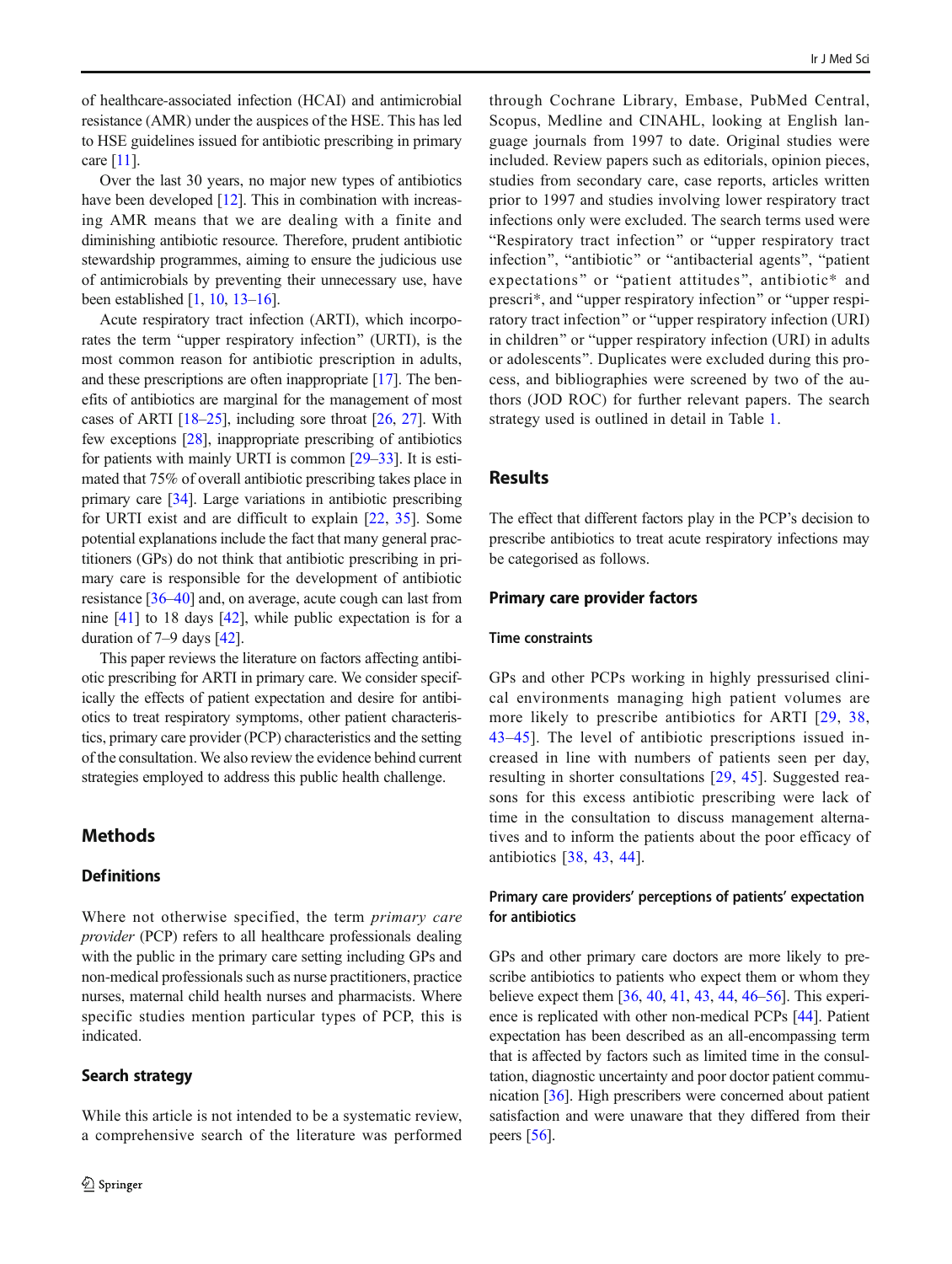of healthcare-associated infection (HCAI) and antimicrobial resistance (AMR) under the auspices of the HSE. This has led to HSE guidelines issued for antibiotic prescribing in primary care [[11](#page-13-0)].

Over the last 30 years, no major new types of antibiotics have been developed [\[12\]](#page-13-0). This in combination with increasing AMR means that we are dealing with a finite and diminishing antibiotic resource. Therefore, prudent antibiotic stewardship programmes, aiming to ensure the judicious use of antimicrobials by preventing their unnecessary use, have been established [[1,](#page-13-0) [10](#page-13-0), [13](#page-13-0)–[16\]](#page-13-0).

Acute respiratory tract infection (ARTI), which incorporates the term "upper respiratory infection" (URTI), is the most common reason for antibiotic prescription in adults, and these prescriptions are often inappropriate [\[17\]](#page-14-0). The benefits of antibiotics are marginal for the management of most cases of ARTI [[18](#page-14-0)–[25](#page-14-0)], including sore throat [[26,](#page-14-0) [27](#page-14-0)]. With few exceptions [\[28\]](#page-14-0), inappropriate prescribing of antibiotics for patients with mainly URTI is common [\[29](#page-14-0)–[33](#page-14-0)]. It is estimated that 75% of overall antibiotic prescribing takes place in primary care [\[34\]](#page-14-0). Large variations in antibiotic prescribing for URTI exist and are difficult to explain [[22,](#page-14-0) [35](#page-14-0)]. Some potential explanations include the fact that many general practitioners (GPs) do not think that antibiotic prescribing in primary care is responsible for the development of antibiotic resistance [\[36](#page-14-0)–[40\]](#page-14-0) and, on average, acute cough can last from nine [\[41](#page-14-0)] to 18 days [\[42\]](#page-14-0), while public expectation is for a duration of 7–9 days [[42](#page-14-0)].

This paper reviews the literature on factors affecting antibiotic prescribing for ARTI in primary care. We consider specifically the effects of patient expectation and desire for antibiotics to treat respiratory symptoms, other patient characteristics, primary care provider (PCP) characteristics and the setting of the consultation. We also review the evidence behind current strategies employed to address this public health challenge.

# **Methods**

### **Definitions**

Where not otherwise specified, the term *primary care* provider (PCP) refers to all healthcare professionals dealing with the public in the primary care setting including GPs and non-medical professionals such as nurse practitioners, practice nurses, maternal child health nurses and pharmacists. Where specific studies mention particular types of PCP, this is indicated.

### Search strategy

through Cochrane Library, Embase, PubMed Central, Scopus, Medline and CINAHL, looking at English language journals from 1997 to date. Original studies were included. Review papers such as editorials, opinion pieces, studies from secondary care, case reports, articles written prior to 1997 and studies involving lower respiratory tract infections only were excluded. The search terms used were "Respiratory tract infection" or "upper respiratory tract infection", "antibiotic" or "antibacterial agents", "patient expectations" or "patient attitudes", antibiotic\* and prescri<sup>\*</sup>, and "upper respiratory infection" or "upper respiratory tract infection" or "upper respiratory infection (URI) in children" or "upper respiratory infection (URI) in adults or adolescents^. Duplicates were excluded during this process, and bibliographies were screened by two of the authors (JOD ROC) for further relevant papers. The search strategy used is outlined in detail in Table [1](#page-2-0).

# Results

The effect that different factors play in the PCP's decision to prescribe antibiotics to treat acute respiratory infections may be categorised as follows.

### Primary care provider factors

### Time constraints

GPs and other PCPs working in highly pressurised clinical environments managing high patient volumes are more likely to prescribe antibiotics for ARTI [\[29,](#page-14-0) [38,](#page-14-0) [43](#page-14-0)–[45](#page-14-0)]. The level of antibiotic prescriptions issued increased in line with numbers of patients seen per day, resulting in shorter consultations [[29](#page-14-0), [45](#page-14-0)]. Suggested reasons for this excess antibiotic prescribing were lack of time in the consultation to discuss management alternatives and to inform the patients about the poor efficacy of antibiotics [\[38](#page-14-0), [43,](#page-14-0) [44\]](#page-14-0).

### Primary care providers' perceptions of patients' expectation for antibiotics

GPs and other primary care doctors are more likely to prescribe antibiotics to patients who expect them or whom they believe expect them [[36,](#page-14-0) [40](#page-14-0), [41](#page-14-0), [43](#page-14-0), [44](#page-14-0), [46](#page-14-0)–[56\]](#page-15-0). This experience is replicated with other non-medical PCPs [\[44\]](#page-14-0). Patient expectation has been described as an all-encompassing term that is affected by factors such as limited time in the consultation, diagnostic uncertainty and poor doctor patient communication [\[36](#page-14-0)]. High prescribers were concerned about patient satisfaction and were unaware that they differed from their peers [\[56](#page-15-0)].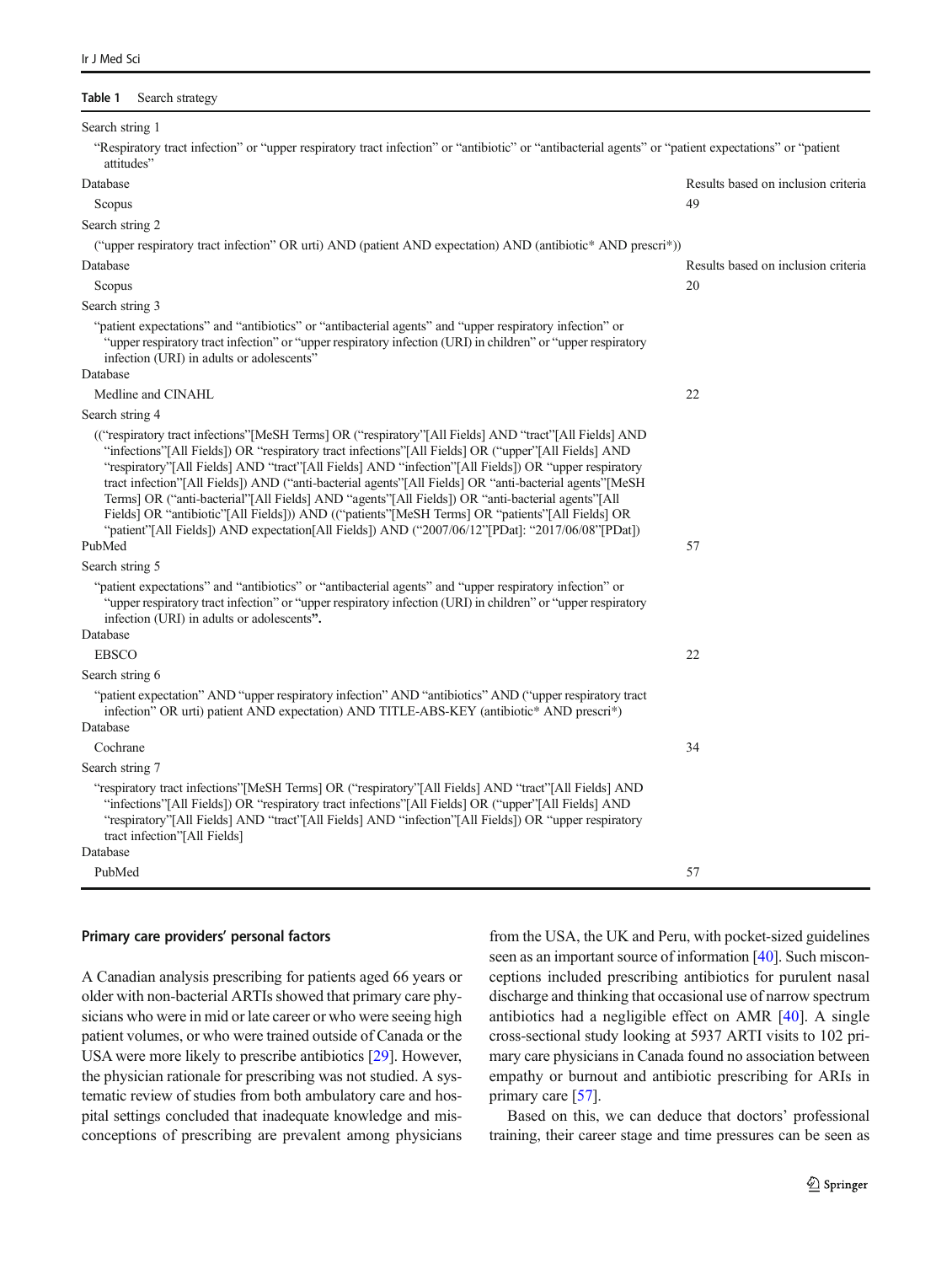#### <span id="page-2-0"></span>Table 1 Search strategy

| Search string 1                                                                                                                                                                                                                                                                                                                                                                                                                                                                                                                                                                                                                                                                                                                              |                                     |
|----------------------------------------------------------------------------------------------------------------------------------------------------------------------------------------------------------------------------------------------------------------------------------------------------------------------------------------------------------------------------------------------------------------------------------------------------------------------------------------------------------------------------------------------------------------------------------------------------------------------------------------------------------------------------------------------------------------------------------------------|-------------------------------------|
| "Respiratory tract infection" or "upper respiratory tract infection" or "antibiotic" or "antibacterial agents" or "patient expectations" or "patient<br>attitudes"                                                                                                                                                                                                                                                                                                                                                                                                                                                                                                                                                                           |                                     |
| Database                                                                                                                                                                                                                                                                                                                                                                                                                                                                                                                                                                                                                                                                                                                                     | Results based on inclusion criteria |
| Scopus                                                                                                                                                                                                                                                                                                                                                                                                                                                                                                                                                                                                                                                                                                                                       | 49                                  |
| Search string 2                                                                                                                                                                                                                                                                                                                                                                                                                                                                                                                                                                                                                                                                                                                              |                                     |
| ("upper respiratory tract infection" OR urti) AND (patient AND expectation) AND (antibiotic* AND prescri*))                                                                                                                                                                                                                                                                                                                                                                                                                                                                                                                                                                                                                                  |                                     |
| Database                                                                                                                                                                                                                                                                                                                                                                                                                                                                                                                                                                                                                                                                                                                                     | Results based on inclusion criteria |
| Scopus                                                                                                                                                                                                                                                                                                                                                                                                                                                                                                                                                                                                                                                                                                                                       | 20                                  |
| Search string 3                                                                                                                                                                                                                                                                                                                                                                                                                                                                                                                                                                                                                                                                                                                              |                                     |
| "patient expectations" and "antibiotics" or "antibacterial agents" and "upper respiratory infection" or<br>"upper respiratory tract infection" or "upper respiratory infection (URI) in children" or "upper respiratory<br>infection (URI) in adults or adolescents"<br>Database                                                                                                                                                                                                                                                                                                                                                                                                                                                             |                                     |
| Medline and CINAHL                                                                                                                                                                                                                                                                                                                                                                                                                                                                                                                                                                                                                                                                                                                           | 22                                  |
| Search string 4                                                                                                                                                                                                                                                                                                                                                                                                                                                                                                                                                                                                                                                                                                                              |                                     |
| (("respiratory tract infections"[MeSH Terms] OR ("respiratory"[All Fields] AND "tract"[All Fields] AND<br>"infections" [All Fields] OR "respiratory tract infections" [All Fields] OR ("upper" [All Fields] AND<br>"respiratory"[All Fields] AND "tract"[All Fields] AND "infection"[All Fields]) OR "upper respiratory<br>tract infection"[All Fields]) AND ("anti-bacterial agents"[All Fields] OR "anti-bacterial agents"[MeSH<br>Terms] OR ("anti-bacterial"[All Fields] AND "agents"[All Fields]) OR "anti-bacterial agents"[All<br>Fields] OR "antibiotic"[All Fields])) AND (("patients"[MeSH Terms] OR "patients"[All Fields] OR<br>"patient"[All Fields]) AND expectation[All Fields]) AND ("2007/06/12"[PDat]: "2017/06/08"[PDat]) | 57                                  |
| PubMed<br>Search string 5                                                                                                                                                                                                                                                                                                                                                                                                                                                                                                                                                                                                                                                                                                                    |                                     |
| "patient expectations" and "antibiotics" or "antibacterial agents" and "upper respiratory infection" or<br>"upper respiratory tract infection" or "upper respiratory infection (URI) in children" or "upper respiratory<br>infection (URI) in adults or adolescents".                                                                                                                                                                                                                                                                                                                                                                                                                                                                        |                                     |
| Database                                                                                                                                                                                                                                                                                                                                                                                                                                                                                                                                                                                                                                                                                                                                     |                                     |
| <b>EBSCO</b>                                                                                                                                                                                                                                                                                                                                                                                                                                                                                                                                                                                                                                                                                                                                 | 22                                  |
| Search string 6<br>"patient expectation" AND "upper respiratory infection" AND "antibiotics" AND ("upper respiratory tract")<br>infection" OR urti) patient AND expectation) AND TITLE-ABS-KEY (antibiotic* AND prescri*)                                                                                                                                                                                                                                                                                                                                                                                                                                                                                                                    |                                     |
| Database                                                                                                                                                                                                                                                                                                                                                                                                                                                                                                                                                                                                                                                                                                                                     |                                     |
| Cochrane                                                                                                                                                                                                                                                                                                                                                                                                                                                                                                                                                                                                                                                                                                                                     | 34                                  |
| Search string 7                                                                                                                                                                                                                                                                                                                                                                                                                                                                                                                                                                                                                                                                                                                              |                                     |
| "respiratory tract infections" [MeSH Terms] OR ("respiratory" [All Fields] AND "tract" [All Fields] AND<br>"infections" [All Fields] OR "respiratory tract infections" [All Fields] OR ("upper" [All Fields] AND<br>"respiratory"[All Fields] AND "tract"[All Fields] AND "infection"[All Fields]) OR "upper respiratory<br>tract infection"[All Fields]<br>Database                                                                                                                                                                                                                                                                                                                                                                         |                                     |
| PubMed                                                                                                                                                                                                                                                                                                                                                                                                                                                                                                                                                                                                                                                                                                                                       | 57                                  |
|                                                                                                                                                                                                                                                                                                                                                                                                                                                                                                                                                                                                                                                                                                                                              |                                     |

#### Primary care providers' personal factors

A Canadian analysis prescribing for patients aged 66 years or older with non-bacterial ARTIs showed that primary care physicians who were in mid or late career or who were seeing high patient volumes, or who were trained outside of Canada or the USA were more likely to prescribe antibiotics [[29](#page-14-0)]. However, the physician rationale for prescribing was not studied. A systematic review of studies from both ambulatory care and hospital settings concluded that inadequate knowledge and misconceptions of prescribing are prevalent among physicians from the USA, the UK and Peru, with pocket-sized guidelines seen as an important source of information [\[40\]](#page-14-0). Such misconceptions included prescribing antibiotics for purulent nasal discharge and thinking that occasional use of narrow spectrum antibiotics had a negligible effect on AMR [\[40](#page-14-0)]. A single cross-sectional study looking at 5937 ARTI visits to 102 primary care physicians in Canada found no association between empathy or burnout and antibiotic prescribing for ARIs in primary care [\[57\]](#page-15-0).

Based on this, we can deduce that doctors' professional training, their career stage and time pressures can be seen as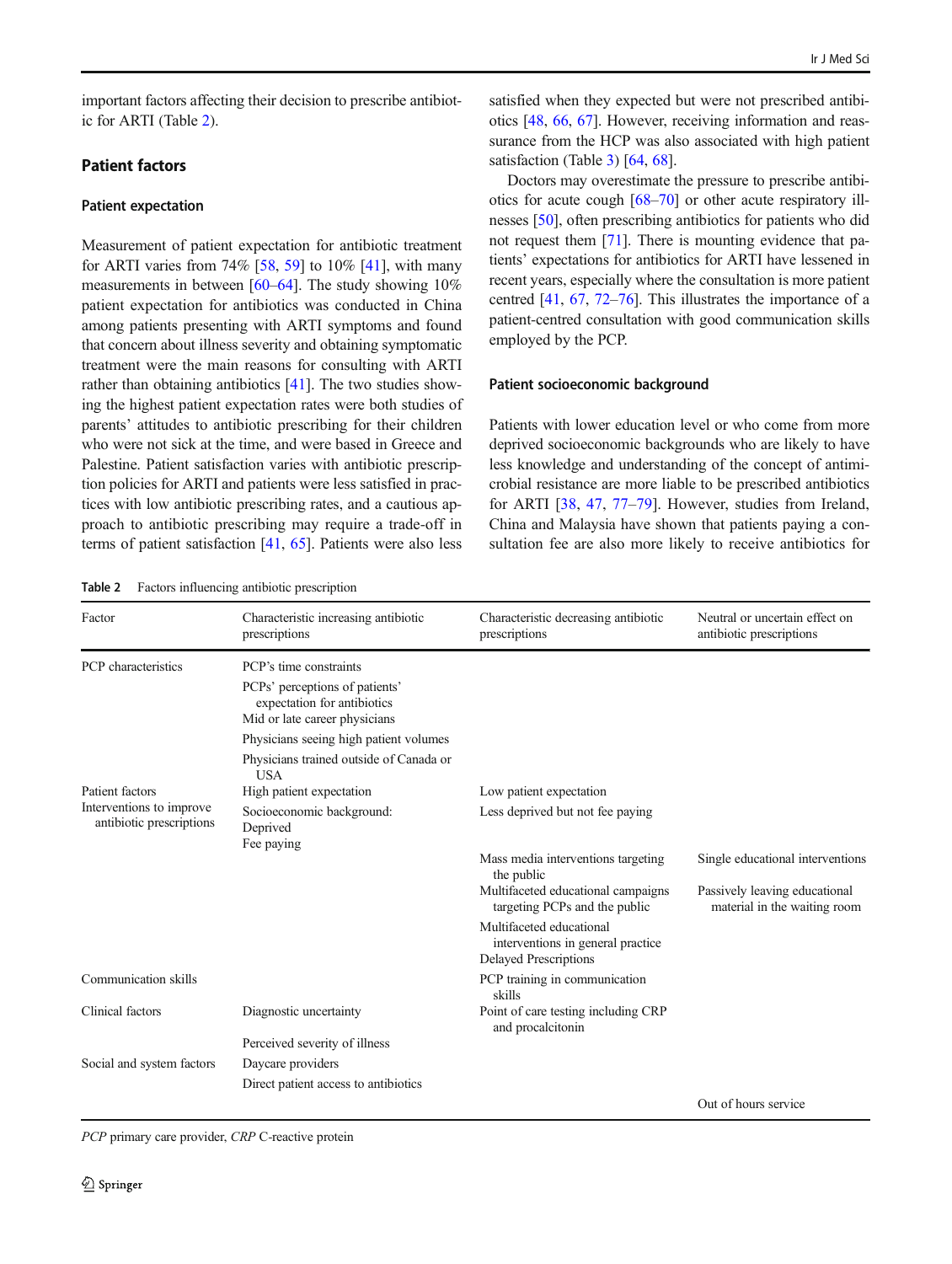important factors affecting their decision to prescribe antibiotic for ARTI (Table 2).

### Patient factors

#### Patient expectation

Measurement of patient expectation for antibiotic treatment for ARTI varies from  $74\%$  [[58](#page-15-0), [59\]](#page-15-0) to  $10\%$  [[41](#page-14-0)], with many measurements in between [\[60](#page-15-0)–[64](#page-15-0)]. The study showing 10% patient expectation for antibiotics was conducted in China among patients presenting with ARTI symptoms and found that concern about illness severity and obtaining symptomatic treatment were the main reasons for consulting with ARTI rather than obtaining antibiotics [[41](#page-14-0)]. The two studies showing the highest patient expectation rates were both studies of parents' attitudes to antibiotic prescribing for their children who were not sick at the time, and were based in Greece and Palestine. Patient satisfaction varies with antibiotic prescription policies for ARTI and patients were less satisfied in practices with low antibiotic prescribing rates, and a cautious approach to antibiotic prescribing may require a trade-off in terms of patient satisfaction [\[41](#page-14-0), [65\]](#page-15-0). Patients were also less

Table 2 Factors influencing antibiotic prescription

satisfied when they expected but were not prescribed antibiotics [[48](#page-14-0), [66,](#page-15-0) [67](#page-15-0)]. However, receiving information and reassurance from the HCP was also associated with high patient satisfaction (Table [3](#page-5-0)) [\[64](#page-15-0), [68](#page-15-0)].

Doctors may overestimate the pressure to prescribe antibiotics for acute cough [\[68](#page-15-0)–[70\]](#page-15-0) or other acute respiratory illnesses [[50](#page-14-0)], often prescribing antibiotics for patients who did not request them [[71\]](#page-15-0). There is mounting evidence that patients' expectations for antibiotics for ARTI have lessened in recent years, especially where the consultation is more patient centred [\[41,](#page-14-0) [67](#page-15-0), [72](#page-15-0)–[76\]](#page-15-0). This illustrates the importance of a patient-centred consultation with good communication skills employed by the PCP.

### Patient socioeconomic background

Patients with lower education level or who come from more deprived socioeconomic backgrounds who are likely to have less knowledge and understanding of the concept of antimicrobial resistance are more liable to be prescribed antibiotics for ARTI [[38,](#page-14-0) [47](#page-14-0), [77](#page-15-0)–[79](#page-15-0)]. However, studies from Ireland, China and Malaysia have shown that patients paying a consultation fee are also more likely to receive antibiotics for

| Factor                                               | Characteristic increasing antibiotic<br>prescriptions                                                                    | Characteristic decreasing antibiotic<br>prescriptions                                         | Neutral or uncertain effect on<br>antibiotic prescriptions    |
|------------------------------------------------------|--------------------------------------------------------------------------------------------------------------------------|-----------------------------------------------------------------------------------------------|---------------------------------------------------------------|
| PCP characteristics                                  | PCP's time constraints<br>PCPs' perceptions of patients'<br>expectation for antibiotics<br>Mid or late career physicians |                                                                                               |                                                               |
|                                                      | Physicians seeing high patient volumes<br>Physicians trained outside of Canada or<br><b>USA</b>                          |                                                                                               |                                                               |
| Patient factors                                      | High patient expectation                                                                                                 | Low patient expectation                                                                       |                                                               |
| Interventions to improve<br>antibiotic prescriptions | Socioeconomic background:<br>Deprived<br>Fee paying                                                                      | Less deprived but not fee paying                                                              |                                                               |
|                                                      |                                                                                                                          | Mass media interventions targeting<br>the public                                              | Single educational interventions                              |
|                                                      |                                                                                                                          | Multifaceted educational campaigns<br>targeting PCPs and the public                           | Passively leaving educational<br>material in the waiting room |
|                                                      |                                                                                                                          | Multifaceted educational<br>interventions in general practice<br><b>Delayed Prescriptions</b> |                                                               |
| Communication skills                                 |                                                                                                                          | PCP training in communication<br>skills                                                       |                                                               |
| Clinical factors                                     | Diagnostic uncertainty                                                                                                   | Point of care testing including CRP<br>and procalcitonin                                      |                                                               |
|                                                      | Perceived severity of illness                                                                                            |                                                                                               |                                                               |
| Social and system factors                            | Daycare providers                                                                                                        |                                                                                               |                                                               |
|                                                      | Direct patient access to antibiotics                                                                                     |                                                                                               |                                                               |
|                                                      |                                                                                                                          |                                                                                               | Out of hours service                                          |

PCP primary care provider, CRP C-reactive protein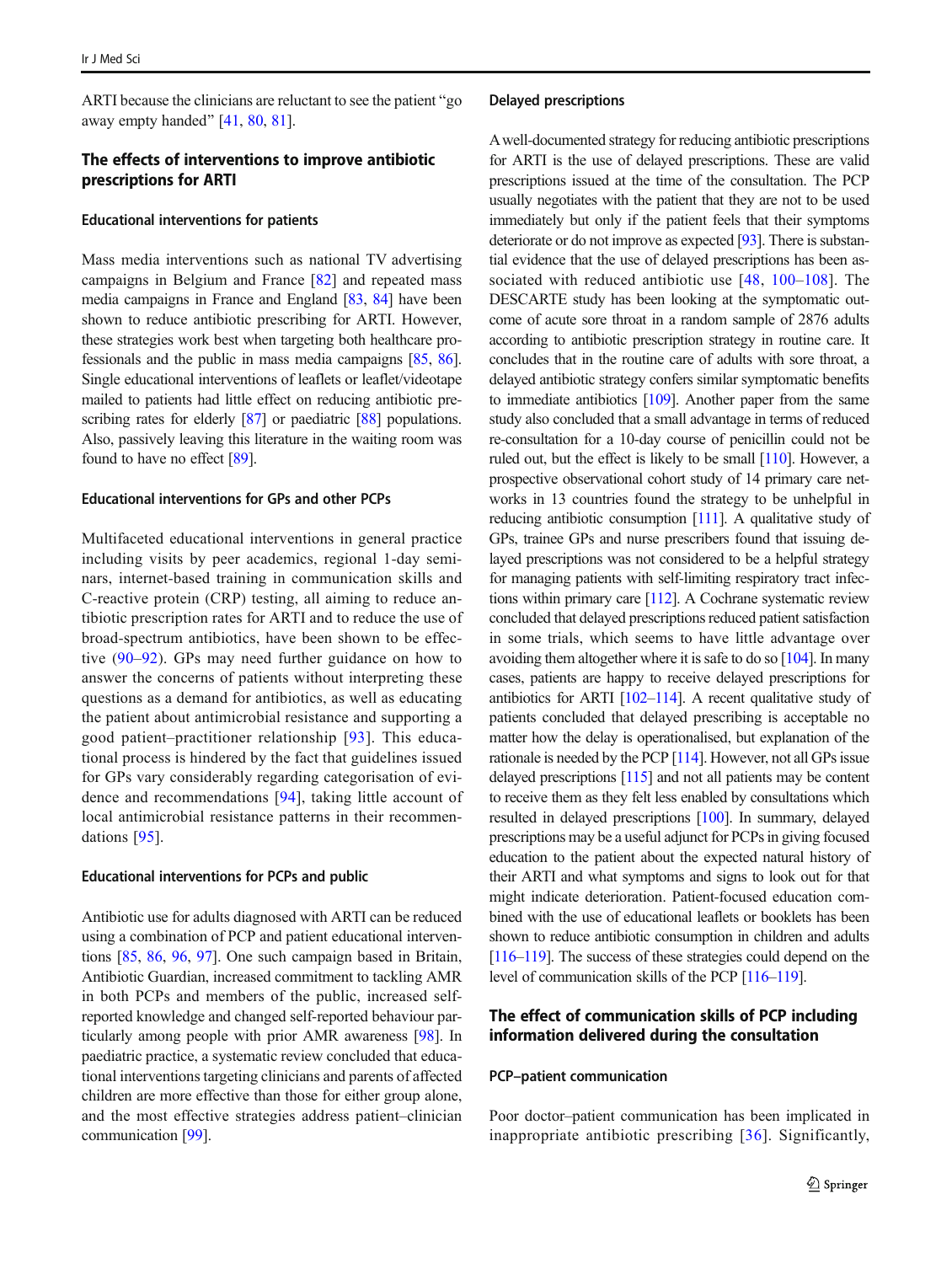ARTI because the clinicians are reluctant to see the patient " $\epsilon$ <sup>o</sup> away empty handed"  $[41, 80, 81]$  $[41, 80, 81]$  $[41, 80, 81]$  $[41, 80, 81]$  $[41, 80, 81]$ .

### The effects of interventions to improve antibiotic prescriptions for ARTI

#### Educational interventions for patients

Mass media interventions such as national TV advertising campaigns in Belgium and France [[82\]](#page-15-0) and repeated mass media campaigns in France and England [[83](#page-15-0), [84\]](#page-15-0) have been shown to reduce antibiotic prescribing for ARTI. However, these strategies work best when targeting both healthcare professionals and the public in mass media campaigns [[85](#page-15-0), [86\]](#page-16-0). Single educational interventions of leaflets or leaflet/videotape mailed to patients had little effect on reducing antibiotic pre-scribing rates for elderly [\[87\]](#page-16-0) or paediatric [\[88\]](#page-16-0) populations. Also, passively leaving this literature in the waiting room was found to have no effect [\[89](#page-16-0)].

### Educational interventions for GPs and other PCPs

Multifaceted educational interventions in general practice including visits by peer academics, regional 1-day seminars, internet-based training in communication skills and C-reactive protein (CRP) testing, all aiming to reduce antibiotic prescription rates for ARTI and to reduce the use of broad-spectrum antibiotics, have been shown to be effective [\(90](#page-16-0)–[92\)](#page-16-0). GPs may need further guidance on how to answer the concerns of patients without interpreting these questions as a demand for antibiotics, as well as educating the patient about antimicrobial resistance and supporting a good patient–practitioner relationship [\[93\]](#page-16-0). This educational process is hindered by the fact that guidelines issued for GPs vary considerably regarding categorisation of evidence and recommendations [\[94](#page-16-0)], taking little account of local antimicrobial resistance patterns in their recommendations [[95\]](#page-16-0).

#### Educational interventions for PCPs and public

Antibiotic use for adults diagnosed with ARTI can be reduced using a combination of PCP and patient educational interventions [\[85](#page-15-0), [86,](#page-16-0) [96](#page-16-0), [97\]](#page-16-0). One such campaign based in Britain, Antibiotic Guardian, increased commitment to tackling AMR in both PCPs and members of the public, increased selfreported knowledge and changed self-reported behaviour particularly among people with prior AMR awareness [\[98\]](#page-16-0). In paediatric practice, a systematic review concluded that educational interventions targeting clinicians and parents of affected children are more effective than those for either group alone, and the most effective strategies address patient–clinician communication [\[99\]](#page-16-0).

#### Delayed prescriptions

Awell-documented strategy for reducing antibiotic prescriptions for ARTI is the use of delayed prescriptions. These are valid prescriptions issued at the time of the consultation. The PCP usually negotiates with the patient that they are not to be used immediately but only if the patient feels that their symptoms deteriorate or do not improve as expected [\[93\]](#page-16-0). There is substantial evidence that the use of delayed prescriptions has been as-sociated with reduced antibiotic use [[48,](#page-14-0) [100](#page-16-0)–[108\]](#page-16-0). The DESCARTE study has been looking at the symptomatic outcome of acute sore throat in a random sample of 2876 adults according to antibiotic prescription strategy in routine care. It concludes that in the routine care of adults with sore throat, a delayed antibiotic strategy confers similar symptomatic benefits to immediate antibiotics [\[109\]](#page-16-0). Another paper from the same study also concluded that a small advantage in terms of reduced re-consultation for a 10-day course of penicillin could not be ruled out, but the effect is likely to be small [\[110](#page-16-0)]. However, a prospective observational cohort study of 14 primary care networks in 13 countries found the strategy to be unhelpful in reducing antibiotic consumption [\[111](#page-16-0)]. A qualitative study of GPs, trainee GPs and nurse prescribers found that issuing delayed prescriptions was not considered to be a helpful strategy for managing patients with self-limiting respiratory tract infections within primary care [[112](#page-16-0)]. A Cochrane systematic review concluded that delayed prescriptions reduced patient satisfaction in some trials, which seems to have little advantage over avoiding them altogether where it is safe to do so [[104\]](#page-16-0). In many cases, patients are happy to receive delayed prescriptions for antibiotics for ARTI  $[102-114]$  $[102-114]$  $[102-114]$ . A recent qualitative study of patients concluded that delayed prescribing is acceptable no matter how the delay is operationalised, but explanation of the rationale is needed by the PCP [\[114](#page-16-0)]. However, not all GPs issue delayed prescriptions [[115](#page-16-0)] and not all patients may be content to receive them as they felt less enabled by consultations which resulted in delayed prescriptions [\[100](#page-16-0)]. In summary, delayed prescriptions may be a useful adjunct for PCPs in giving focused education to the patient about the expected natural history of their ARTI and what symptoms and signs to look out for that might indicate deterioration. Patient-focused education combined with the use of educational leaflets or booklets has been shown to reduce antibiotic consumption in children and adults [\[116](#page-16-0)–[119\]](#page-17-0). The success of these strategies could depend on the level of communication skills of the PCP [\[116](#page-16-0)–[119\]](#page-17-0).

### The effect of communication skills of PCP including information delivered during the consultation

### PCP–patient communication

Poor doctor–patient communication has been implicated in inappropriate antibiotic prescribing [\[36](#page-14-0)]. Significantly,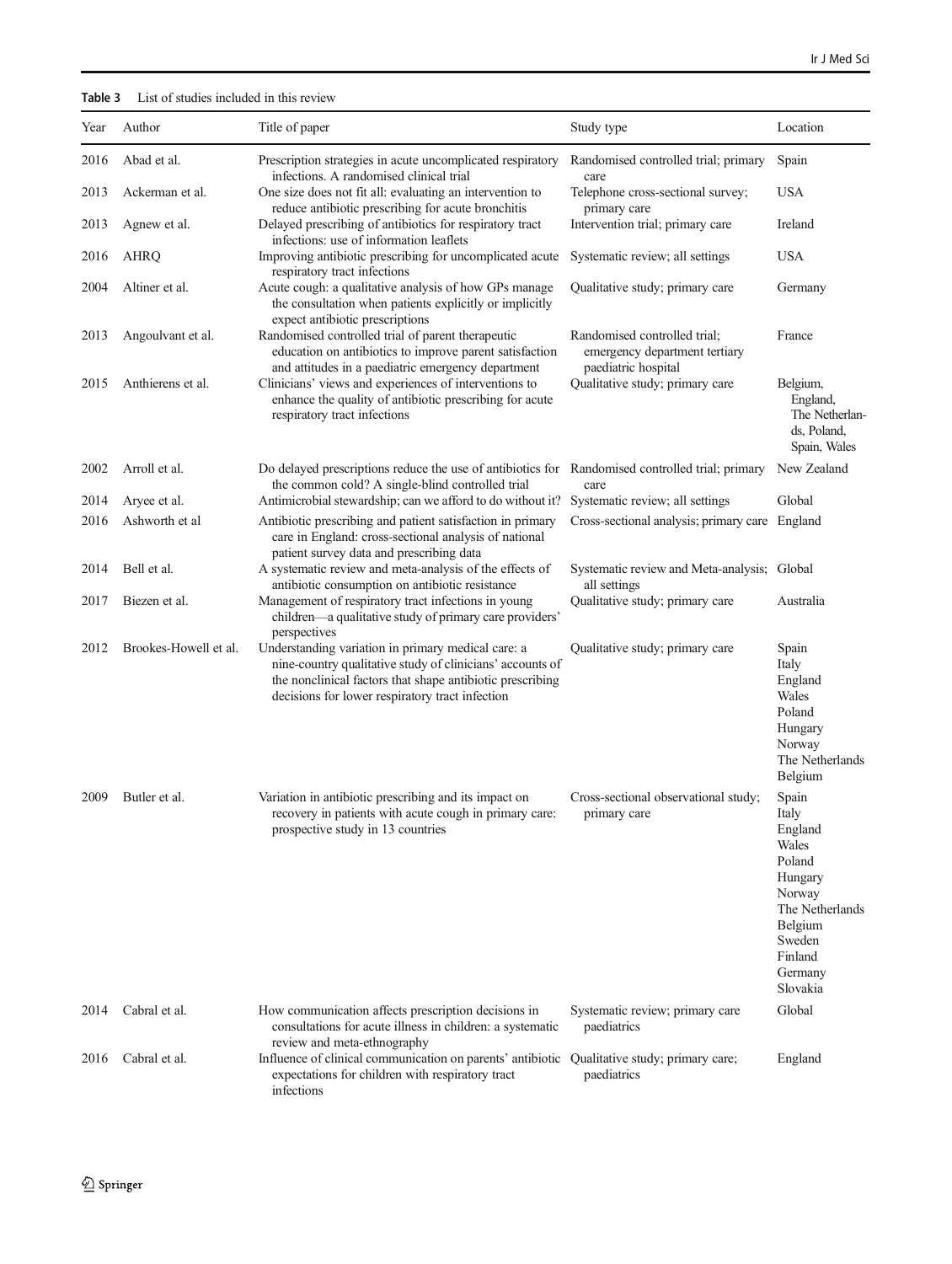### <span id="page-5-0"></span>Table 3 List of studies included in this review

| Year | Author                | Title of paper                                                                                                                                                                                                                  | Study type                                                                           | Location                                                                                                                                    |
|------|-----------------------|---------------------------------------------------------------------------------------------------------------------------------------------------------------------------------------------------------------------------------|--------------------------------------------------------------------------------------|---------------------------------------------------------------------------------------------------------------------------------------------|
| 2016 | Abad et al.           | Prescription strategies in acute uncomplicated respiratory<br>infections. A randomised clinical trial                                                                                                                           | Randomised controlled trial; primary<br>care                                         | Spain                                                                                                                                       |
| 2013 | Ackerman et al.       | One size does not fit all: evaluating an intervention to                                                                                                                                                                        | Telephone cross-sectional survey;                                                    | <b>USA</b>                                                                                                                                  |
| 2013 | Agnew et al.          | reduce antibiotic prescribing for acute bronchitis<br>Delayed prescribing of antibiotics for respiratory tract<br>infections: use of information leaflets                                                                       | primary care<br>Intervention trial; primary care                                     | Ireland                                                                                                                                     |
| 2016 | AHRQ                  | Improving antibiotic prescribing for uncomplicated acute<br>respiratory tract infections                                                                                                                                        | Systematic review; all settings                                                      | <b>USA</b>                                                                                                                                  |
| 2004 | Altiner et al.        | Acute cough: a qualitative analysis of how GPs manage<br>the consultation when patients explicitly or implicitly<br>expect antibiotic prescriptions                                                                             | Qualitative study; primary care                                                      | Germany                                                                                                                                     |
| 2013 | Angoulvant et al.     | Randomised controlled trial of parent therapeutic<br>education on antibiotics to improve parent satisfaction<br>and attitudes in a paediatric emergency department                                                              | Randomised controlled trial:<br>emergency department tertiary<br>paediatric hospital | France                                                                                                                                      |
| 2015 | Anthierens et al.     | Clinicians' views and experiences of interventions to<br>enhance the quality of antibiotic prescribing for acute<br>respiratory tract infections                                                                                | Qualitative study; primary care                                                      | Belgium,<br>England,<br>The Netherlan-<br>ds, Poland,<br>Spain, Wales                                                                       |
| 2002 | Arroll et al.         | Do delayed prescriptions reduce the use of antibiotics for Randomised controlled trial; primary<br>the common cold? A single-blind controlled trial                                                                             | care                                                                                 | New Zealand                                                                                                                                 |
| 2014 | Aryee et al.          | Antimicrobial stewardship; can we afford to do without it?                                                                                                                                                                      | Systematic review; all settings                                                      | Global                                                                                                                                      |
| 2016 | Ashworth et al        | Antibiotic prescribing and patient satisfaction in primary<br>care in England: cross-sectional analysis of national<br>patient survey data and prescribing data                                                                 | Cross-sectional analysis; primary care England                                       |                                                                                                                                             |
| 2014 | Bell et al.           | A systematic review and meta-analysis of the effects of<br>antibiotic consumption on antibiotic resistance                                                                                                                      | Systematic review and Meta-analysis; Global<br>all settings                          |                                                                                                                                             |
| 2017 | Biezen et al.         | Management of respiratory tract infections in young<br>children—a qualitative study of primary care providers'<br>perspectives                                                                                                  | Qualitative study; primary care                                                      | Australia                                                                                                                                   |
| 2012 | Brookes-Howell et al. | Understanding variation in primary medical care: a<br>nine-country qualitative study of clinicians' accounts of<br>the nonclinical factors that shape antibiotic prescribing<br>decisions for lower respiratory tract infection | Qualitative study; primary care                                                      | Spain<br>Italy<br>England<br>Wales<br>Poland<br>Hungary<br>Norway<br>The Netherlands<br>Belgium                                             |
| 2009 | Butler et al.         | Variation in antibiotic prescribing and its impact on<br>recovery in patients with acute cough in primary care:<br>prospective study in 13 countries                                                                            | Cross-sectional observational study;<br>primary care                                 | Spain<br>Italy<br>England<br>Wales<br>Poland<br>Hungary<br>Norway<br>The Netherlands<br>Belgium<br>Sweden<br>Finland<br>Germany<br>Slovakia |
| 2014 | Cabral et al.         | How communication affects prescription decisions in<br>consultations for acute illness in children: a systematic<br>review and meta-ethnography                                                                                 | Systematic review; primary care<br>paediatrics                                       | Global                                                                                                                                      |
| 2016 | Cabral et al.         | Influence of clinical communication on parents' antibiotic<br>expectations for children with respiratory tract<br>infections                                                                                                    | Qualitative study; primary care;<br>paediatrics                                      | England                                                                                                                                     |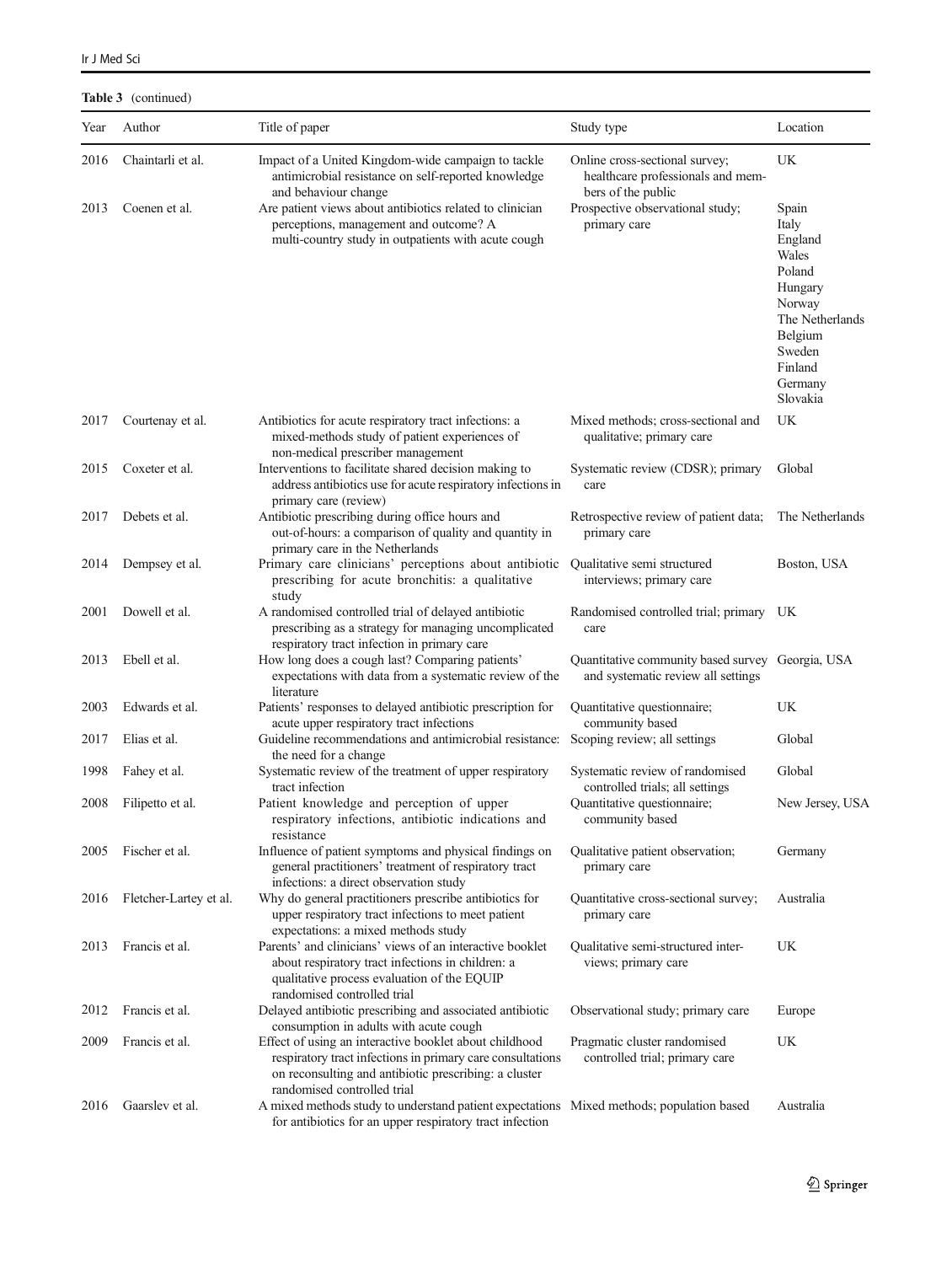Table 3 (continued)

| Year | Author                 | Title of paper                                                                                                                                                                                               | Study type                                                                                | Location                                                                                                                                    |
|------|------------------------|--------------------------------------------------------------------------------------------------------------------------------------------------------------------------------------------------------------|-------------------------------------------------------------------------------------------|---------------------------------------------------------------------------------------------------------------------------------------------|
| 2016 | Chaintarli et al.      | Impact of a United Kingdom-wide campaign to tackle<br>antimicrobial resistance on self-reported knowledge<br>and behaviour change                                                                            | Online cross-sectional survey;<br>healthcare professionals and mem-<br>bers of the public | UK                                                                                                                                          |
| 2013 | Coenen et al.          | Are patient views about antibiotics related to clinician<br>perceptions, management and outcome? A<br>multi-country study in outpatients with acute cough                                                    | Prospective observational study;<br>primary care                                          | Spain<br>Italy<br>England<br>Wales<br>Poland<br>Hungary<br>Norway<br>The Netherlands<br>Belgium<br>Sweden<br>Finland<br>Germany<br>Slovakia |
| 2017 | Courtenay et al.       | Antibiotics for acute respiratory tract infections: a<br>mixed-methods study of patient experiences of<br>non-medical prescriber management                                                                  | Mixed methods; cross-sectional and<br>qualitative; primary care                           | UK                                                                                                                                          |
| 2015 | Coxeter et al.         | Interventions to facilitate shared decision making to<br>address antibiotics use for acute respiratory infections in<br>primary care (review)                                                                | Systematic review (CDSR); primary<br>care                                                 | Global                                                                                                                                      |
| 2017 | Debets et al.          | Antibiotic prescribing during office hours and<br>out-of-hours: a comparison of quality and quantity in<br>primary care in the Netherlands                                                                   | Retrospective review of patient data;<br>primary care                                     | The Netherlands                                                                                                                             |
| 2014 | Dempsey et al.         | Primary care clinicians' perceptions about antibiotic<br>prescribing for acute bronchitis: a qualitative<br>study                                                                                            | Qualitative semi structured<br>interviews; primary care                                   | Boston, USA                                                                                                                                 |
| 2001 | Dowell et al.          | A randomised controlled trial of delayed antibiotic<br>prescribing as a strategy for managing uncomplicated<br>respiratory tract infection in primary care                                                   | Randomised controlled trial; primary UK<br>care                                           |                                                                                                                                             |
| 2013 | Ebell et al.           | How long does a cough last? Comparing patients'<br>expectations with data from a systematic review of the<br>literature                                                                                      | Quantitative community based survey Georgia, USA<br>and systematic review all settings    |                                                                                                                                             |
| 2003 | Edwards et al.         | Patients' responses to delayed antibiotic prescription for                                                                                                                                                   | Quantitative questionnaire;                                                               | UK                                                                                                                                          |
| 2017 | Elias et al.           | acute upper respiratory tract infections<br>Guideline recommendations and antimicrobial resistance:<br>the need for a change                                                                                 | community based<br>Scoping review; all settings                                           | Global                                                                                                                                      |
| 1998 | Fahey et al.           | Systematic review of the treatment of upper respiratory<br>tract infection                                                                                                                                   | Systematic review of randomised<br>controlled trials; all settings                        | Global                                                                                                                                      |
| 2008 | Filipetto et al.       | Patient knowledge and perception of upper<br>respiratory infections, antibiotic indications and<br>resistance                                                                                                | Quantitative questionnaire;<br>community based                                            | New Jersey, USA                                                                                                                             |
| 2005 | Fischer et al.         | Influence of patient symptoms and physical findings on<br>general practitioners' treatment of respiratory tract<br>infections: a direct observation study                                                    | Qualitative patient observation;<br>primary care                                          | Germany                                                                                                                                     |
| 2016 | Fletcher-Lartey et al. | Why do general practitioners prescribe antibiotics for<br>upper respiratory tract infections to meet patient<br>expectations: a mixed methods study                                                          | Quantitative cross-sectional survey;<br>primary care                                      | Australia                                                                                                                                   |
| 2013 | Francis et al.         | Parents' and clinicians' views of an interactive booklet<br>about respiratory tract infections in children: a<br>qualitative process evaluation of the EQUIP<br>randomised controlled trial                  | Qualitative semi-structured inter-<br>views; primary care                                 | UK                                                                                                                                          |
| 2012 | Francis et al.         | Delayed antibiotic prescribing and associated antibiotic<br>consumption in adults with acute cough                                                                                                           | Observational study; primary care                                                         | Europe                                                                                                                                      |
| 2009 | Francis et al.         | Effect of using an interactive booklet about childhood<br>respiratory tract infections in primary care consultations<br>on reconsulting and antibiotic prescribing: a cluster<br>randomised controlled trial | Pragmatic cluster randomised<br>controlled trial; primary care                            | UK                                                                                                                                          |
| 2016 | Gaarslev et al.        | A mixed methods study to understand patient expectations Mixed methods; population based<br>for antibiotics for an upper respiratory tract infection                                                         |                                                                                           | Australia                                                                                                                                   |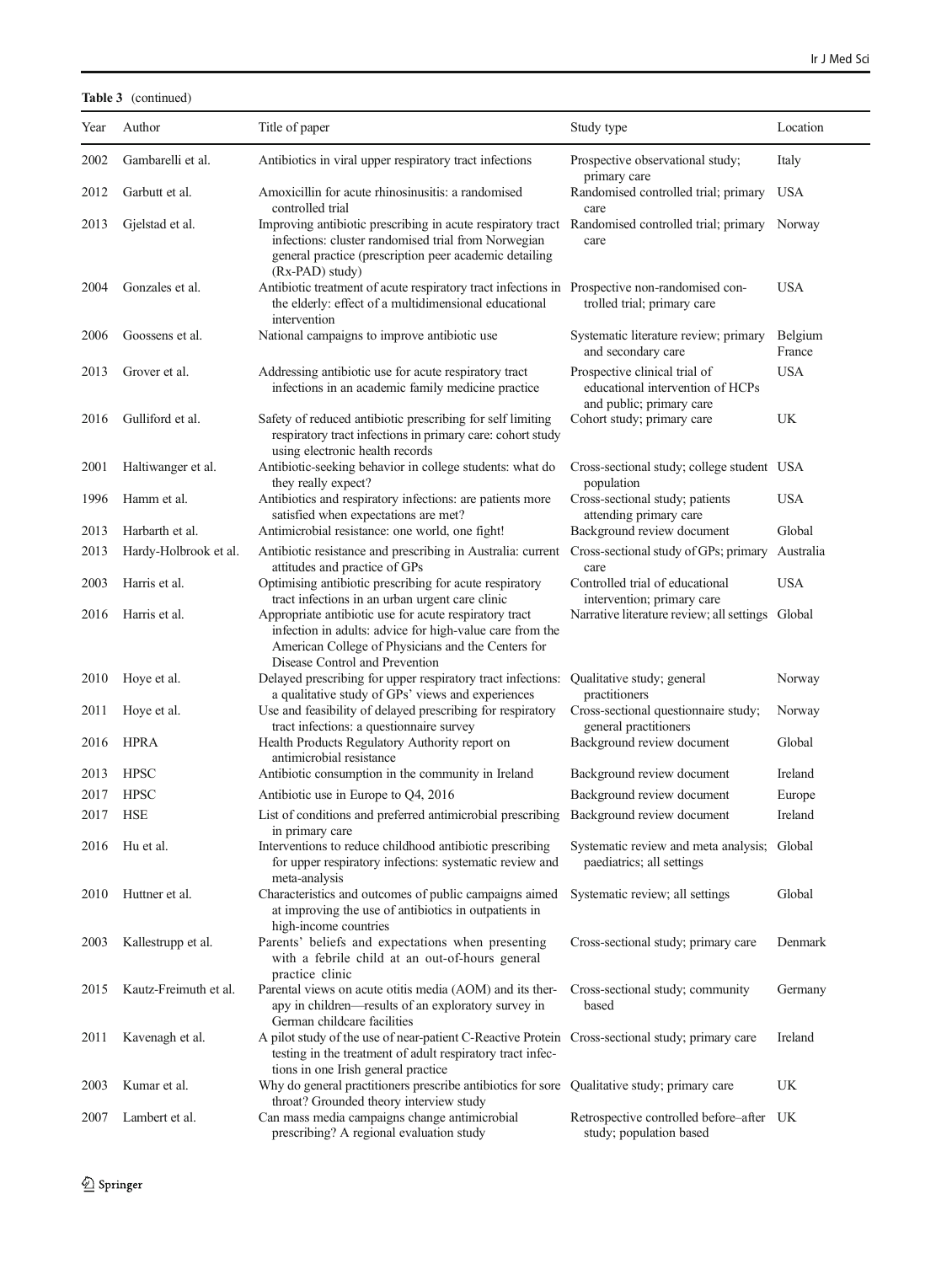### Table 3 (continued)

| Year | Author                | Title of paper                                                                                                                                                                                             | Study type                                                                                    | Location          |
|------|-----------------------|------------------------------------------------------------------------------------------------------------------------------------------------------------------------------------------------------------|-----------------------------------------------------------------------------------------------|-------------------|
| 2002 | Gambarelli et al.     | Antibiotics in viral upper respiratory tract infections                                                                                                                                                    | Prospective observational study;<br>primary care                                              | Italy             |
| 2012 | Garbutt et al.        | Amoxicillin for acute rhinosinusitis: a randomised<br>controlled trial                                                                                                                                     | Randomised controlled trial; primary<br>care                                                  | <b>USA</b>        |
| 2013 | Gjelstad et al.       | Improving antibiotic prescribing in acute respiratory tract<br>infections: cluster randomised trial from Norwegian<br>general practice (prescription peer academic detailing<br>(Rx-PAD) study)            | Randomised controlled trial; primary<br>care                                                  | Norway            |
| 2004 | Gonzales et al.       | Antibiotic treatment of acute respiratory tract infections in Prospective non-randomised con-<br>the elderly: effect of a multidimensional educational<br>intervention                                     | trolled trial; primary care                                                                   | <b>USA</b>        |
| 2006 | Goossens et al.       | National campaigns to improve antibiotic use                                                                                                                                                               | Systematic literature review; primary<br>and secondary care                                   | Belgium<br>France |
| 2013 | Grover et al.         | Addressing antibiotic use for acute respiratory tract<br>infections in an academic family medicine practice                                                                                                | Prospective clinical trial of<br>educational intervention of HCPs<br>and public; primary care | <b>USA</b>        |
| 2016 | Gulliford et al.      | Safety of reduced antibiotic prescribing for self limiting<br>respiratory tract infections in primary care: cohort study<br>using electronic health records                                                | Cohort study; primary care                                                                    | UK                |
| 2001 | Haltiwanger et al.    | Antibiotic-seeking behavior in college students: what do<br>they really expect?                                                                                                                            | Cross-sectional study; college student USA<br>population                                      |                   |
| 1996 | Hamm et al.           | Antibiotics and respiratory infections: are patients more<br>satisfied when expectations are met?                                                                                                          | Cross-sectional study; patients<br>attending primary care                                     | <b>USA</b>        |
| 2013 | Harbarth et al.       | Antimicrobial resistance: one world, one fight!                                                                                                                                                            | Background review document                                                                    | Global            |
| 2013 | Hardy-Holbrook et al. | Antibiotic resistance and prescribing in Australia: current<br>attitudes and practice of GPs                                                                                                               | Cross-sectional study of GPs; primary<br>care                                                 | Australia         |
| 2003 | Harris et al.         | Optimising antibiotic prescribing for acute respiratory<br>tract infections in an urban urgent care clinic                                                                                                 | Controlled trial of educational<br>intervention; primary care                                 | <b>USA</b>        |
| 2016 | Harris et al.         | Appropriate antibiotic use for acute respiratory tract<br>infection in adults: advice for high-value care from the<br>American College of Physicians and the Centers for<br>Disease Control and Prevention | Narrative literature review; all settings Global                                              |                   |
| 2010 | Hoye et al.           | Delayed prescribing for upper respiratory tract infections:<br>a qualitative study of GPs' views and experiences                                                                                           | Qualitative study; general<br>practitioners                                                   | Norway            |
| 2011 | Hoye et al.           | Use and feasibility of delayed prescribing for respiratory<br>tract infections: a questionnaire survey                                                                                                     | Cross-sectional questionnaire study;<br>general practitioners                                 | Norway            |
| 2016 | <b>HPRA</b>           | Health Products Regulatory Authority report on<br>antimicrobial resistance                                                                                                                                 | Background review document                                                                    | Global            |
| 2013 | <b>HPSC</b>           | Antibiotic consumption in the community in Ireland                                                                                                                                                         | Background review document                                                                    | Ireland           |
| 2017 | <b>HPSC</b>           | Antibiotic use in Europe to Q4, 2016                                                                                                                                                                       | Background review document                                                                    | Europe            |
| 2017 | <b>HSE</b>            | List of conditions and preferred antimicrobial prescribing<br>in primary care                                                                                                                              | Background review document                                                                    | Ireland           |
|      | 2016 Hu et al.        | Interventions to reduce childhood antibiotic prescribing<br>for upper respiratory infections: systematic review and<br>meta-analysis                                                                       | Systematic review and meta analysis; Global<br>paediatrics; all settings                      |                   |
| 2010 | Huttner et al.        | Characteristics and outcomes of public campaigns aimed<br>at improving the use of antibiotics in outpatients in<br>high-income countries                                                                   | Systematic review; all settings                                                               | Global            |
| 2003 | Kallestrupp et al.    | Parents' beliefs and expectations when presenting<br>with a febrile child at an out-of-hours general<br>practice clinic                                                                                    | Cross-sectional study; primary care                                                           | Denmark           |
| 2015 | Kautz-Freimuth et al. | Parental views on acute otitis media (AOM) and its ther-<br>apy in children-results of an exploratory survey in<br>German childcare facilities                                                             | Cross-sectional study; community<br>based                                                     | Germany           |
| 2011 | Kavenagh et al.       | A pilot study of the use of near-patient C-Reactive Protein Cross-sectional study; primary care<br>testing in the treatment of adult respiratory tract infec-<br>tions in one Irish general practice       |                                                                                               | Ireland           |
| 2003 | Kumar et al.          | Why do general practitioners prescribe antibiotics for sore Qualitative study; primary care<br>throat? Grounded theory interview study                                                                     |                                                                                               | UK                |
| 2007 | Lambert et al.        | Can mass media campaigns change antimicrobial<br>prescribing? A regional evaluation study                                                                                                                  | Retrospective controlled before-after UK<br>study; population based                           |                   |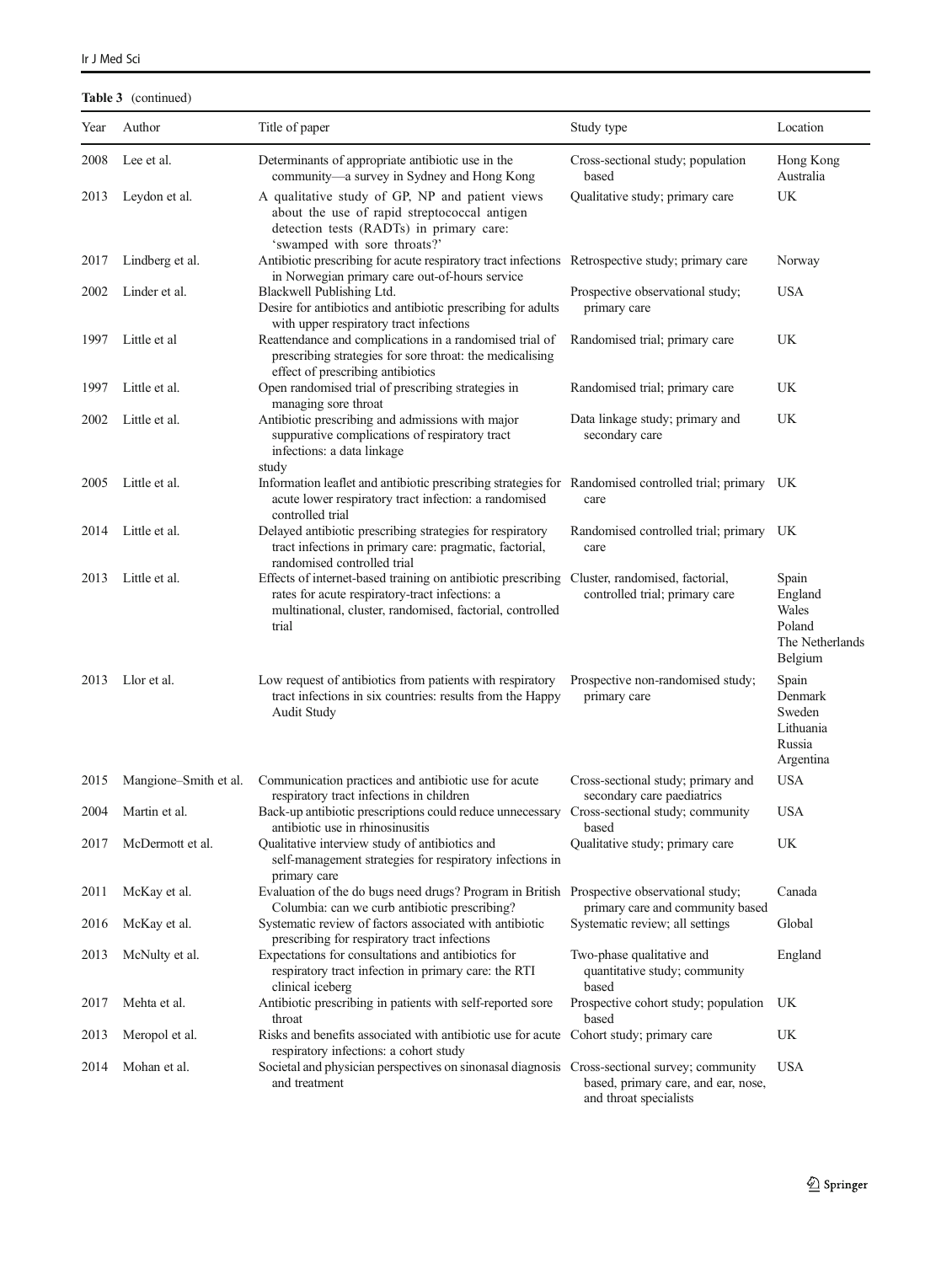### Table 3 (continued)

| Year | Author                | Title of paper                                                                                                                                                                                                        | Study type                                                          | Location                                                          |
|------|-----------------------|-----------------------------------------------------------------------------------------------------------------------------------------------------------------------------------------------------------------------|---------------------------------------------------------------------|-------------------------------------------------------------------|
|      |                       |                                                                                                                                                                                                                       |                                                                     |                                                                   |
| 2008 | Lee et al.            | Determinants of appropriate antibiotic use in the<br>community-a survey in Sydney and Hong Kong                                                                                                                       | Cross-sectional study; population<br>based                          | Hong Kong<br>Australia                                            |
| 2013 | Leydon et al.         | A qualitative study of GP, NP and patient views<br>about the use of rapid streptococcal antigen<br>detection tests (RADTs) in primary care:<br>'swamped with sore throats?'                                           | Qualitative study; primary care                                     | UK                                                                |
| 2017 | Lindberg et al.       | Antibiotic prescribing for acute respiratory tract infections Retrospective study; primary care<br>in Norwegian primary care out-of-hours service                                                                     |                                                                     | Norway                                                            |
| 2002 | Linder et al.         | Blackwell Publishing Ltd.<br>Desire for antibiotics and antibiotic prescribing for adults<br>with upper respiratory tract infections                                                                                  | Prospective observational study;<br>primary care                    | USA                                                               |
| 1997 | Little et al          | Reattendance and complications in a randomised trial of<br>prescribing strategies for sore throat: the medicalising<br>effect of prescribing antibiotics                                                              | Randomised trial; primary care                                      | UK                                                                |
| 1997 | Little et al.         | Open randomised trial of prescribing strategies in<br>managing sore throat                                                                                                                                            | Randomised trial; primary care                                      | UK                                                                |
| 2002 | Little et al.         | Antibiotic prescribing and admissions with major<br>suppurative complications of respiratory tract<br>infections: a data linkage<br>study                                                                             | Data linkage study; primary and<br>secondary care                   | UK                                                                |
| 2005 | Little et al.         | Information leaflet and antibiotic prescribing strategies for Randomised controlled trial; primary UK<br>acute lower respiratory tract infection: a randomised<br>controlled trial                                    | care                                                                |                                                                   |
| 2014 | Little et al.         | Delayed antibiotic prescribing strategies for respiratory<br>tract infections in primary care: pragmatic, factorial,<br>randomised controlled trial                                                                   | Randomised controlled trial; primary UK<br>care                     |                                                                   |
| 2013 | Little et al.         | Effects of internet-based training on antibiotic prescribing Cluster, randomised, factorial,<br>rates for acute respiratory-tract infections: a<br>multinational, cluster, randomised, factorial, controlled<br>trial | controlled trial; primary care                                      | Spain<br>England<br>Wales<br>Poland<br>The Netherlands<br>Belgium |
| 2013 | Llor et al.           | Low request of antibiotics from patients with respiratory<br>tract infections in six countries: results from the Happy<br><b>Audit Study</b>                                                                          | Prospective non-randomised study;<br>primary care                   | Spain<br>Denmark<br>Sweden<br>Lithuania<br>Russia<br>Argentina    |
| 2015 | Mangione-Smith et al. | Communication practices and antibiotic use for acute<br>respiratory tract infections in children                                                                                                                      | Cross-sectional study; primary and<br>secondary care paediatrics    | <b>USA</b>                                                        |
| 2004 | Martin et al.         | Back-up antibiotic prescriptions could reduce unnecessary Cross-sectional study; community<br>antibiotic use in rhinosinusitis                                                                                        | based                                                               | <b>USA</b>                                                        |
| 2017 | McDermott et al.      | Qualitative interview study of antibiotics and<br>self-management strategies for respiratory infections in<br>primary care                                                                                            | Qualitative study; primary care                                     | UK                                                                |
| 2011 | McKay et al.          | Evaluation of the do bugs need drugs? Program in British Prospective observational study;<br>Columbia: can we curb antibiotic prescribing?                                                                            | primary care and community based                                    | Canada                                                            |
| 2016 | McKay et al.          | Systematic review of factors associated with antibiotic<br>prescribing for respiratory tract infections                                                                                                               | Systematic review; all settings                                     | Global                                                            |
| 2013 | McNulty et al.        | Expectations for consultations and antibiotics for<br>respiratory tract infection in primary care: the RTI<br>clinical iceberg                                                                                        | Two-phase qualitative and<br>quantitative study; community<br>based | England                                                           |
| 2017 | Mehta et al.          | Antibiotic prescribing in patients with self-reported sore<br>throat                                                                                                                                                  | Prospective cohort study; population<br>based                       | UK                                                                |
| 2013 | Meropol et al.        | Risks and benefits associated with antibiotic use for acute Cohort study; primary care<br>respiratory infections: a cohort study                                                                                      |                                                                     | UK                                                                |
| 2014 | Mohan et al.          | Societal and physician perspectives on sinonasal diagnosis Cross-sectional survey; community<br>and treatment                                                                                                         | based, primary care, and ear, nose,<br>and throat specialists       | <b>USA</b>                                                        |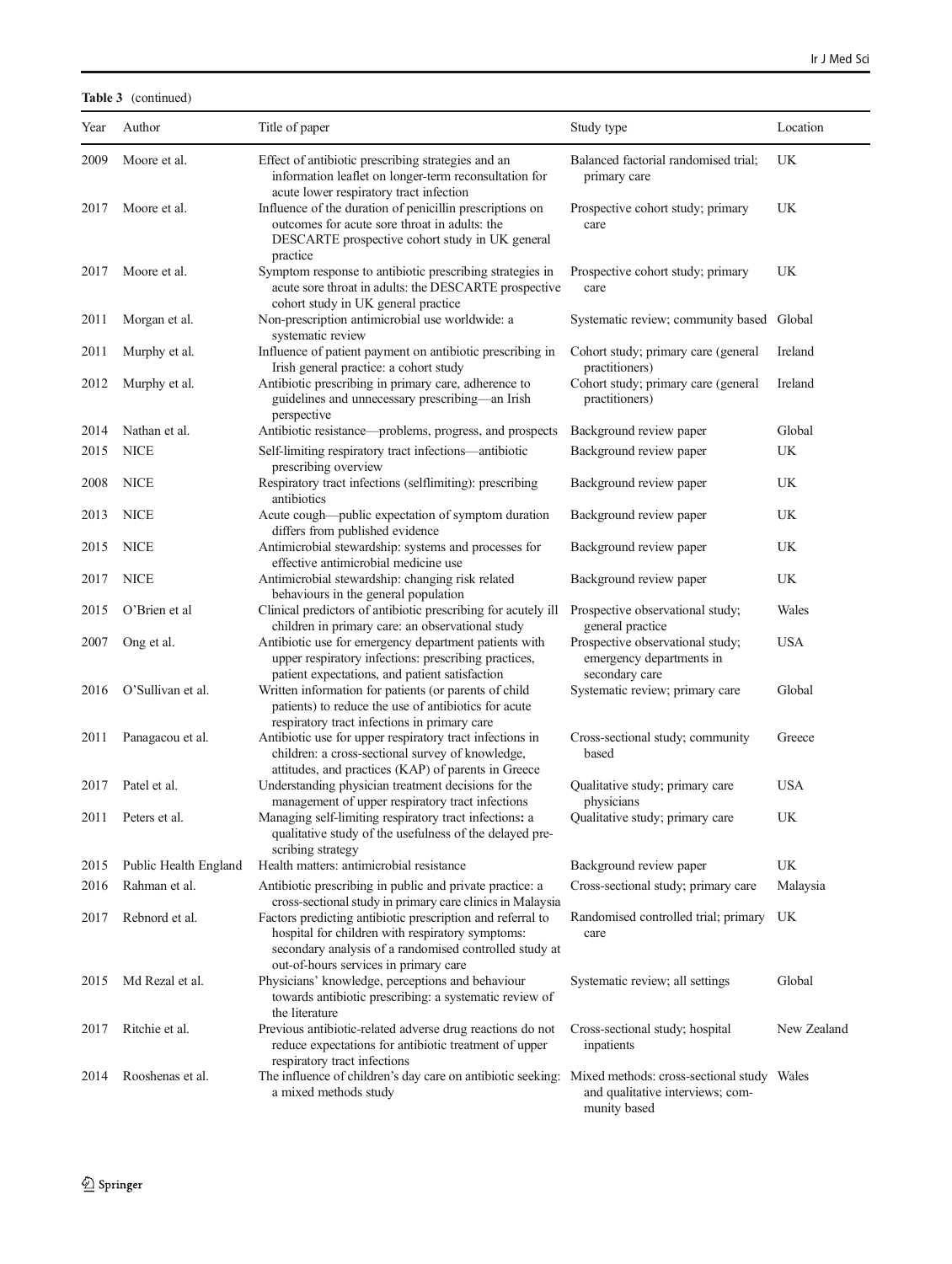Table 3 (continued)

| Year | Author                | Title of paper                                                                                                                                                                                                    | Study type                                                                                     | Location    |
|------|-----------------------|-------------------------------------------------------------------------------------------------------------------------------------------------------------------------------------------------------------------|------------------------------------------------------------------------------------------------|-------------|
| 2009 | Moore et al.          | Effect of antibiotic prescribing strategies and an<br>information leaflet on longer-term reconsultation for<br>acute lower respiratory tract infection                                                            | Balanced factorial randomised trial;<br>primary care                                           | UK          |
| 2017 | Moore et al.          | Influence of the duration of penicillin prescriptions on<br>outcomes for acute sore throat in adults: the<br>DESCARTE prospective cohort study in UK general<br>practice                                          | Prospective cohort study; primary<br>care                                                      | UK          |
| 2017 | Moore et al.          | Symptom response to antibiotic prescribing strategies in<br>acute sore throat in adults: the DESCARTE prospective<br>cohort study in UK general practice                                                          | Prospective cohort study; primary<br>care                                                      | UK          |
| 2011 | Morgan et al.         | Non-prescription antimicrobial use worldwide: a<br>systematic review                                                                                                                                              | Systematic review; community based Global                                                      |             |
| 2011 | Murphy et al.         | Influence of patient payment on antibiotic prescribing in<br>Irish general practice: a cohort study                                                                                                               | Cohort study; primary care (general<br>practitioners)                                          | Ireland     |
| 2012 | Murphy et al.         | Antibiotic prescribing in primary care, adherence to<br>guidelines and unnecessary prescribing—an Irish<br>perspective                                                                                            | Cohort study; primary care (general<br>practitioners)                                          | Ireland     |
| 2014 | Nathan et al.         | Antibiotic resistance—problems, progress, and prospects                                                                                                                                                           | Background review paper                                                                        | Global      |
| 2015 | <b>NICE</b>           | Self-limiting respiratory tract infections-antibiotic<br>prescribing overview                                                                                                                                     | Background review paper                                                                        | UK          |
| 2008 | <b>NICE</b>           | Respiratory tract infections (selflimiting): prescribing<br>antibiotics                                                                                                                                           | Background review paper                                                                        | UK          |
| 2013 | <b>NICE</b>           | Acute cough—public expectation of symptom duration<br>differs from published evidence                                                                                                                             | Background review paper                                                                        | UK          |
| 2015 | <b>NICE</b>           | Antimicrobial stewardship: systems and processes for<br>effective antimicrobial medicine use                                                                                                                      | Background review paper                                                                        | UK          |
| 2017 | <b>NICE</b>           | Antimicrobial stewardship: changing risk related<br>behaviours in the general population                                                                                                                          | Background review paper                                                                        | UK          |
| 2015 | O'Brien et al         | Clinical predictors of antibiotic prescribing for acutely ill<br>children in primary care: an observational study                                                                                                 | Prospective observational study;<br>general practice                                           | Wales       |
| 2007 | Ong et al.            | Antibiotic use for emergency department patients with<br>upper respiratory infections: prescribing practices,<br>patient expectations, and patient satisfaction                                                   | Prospective observational study;<br>emergency departments in<br>secondary care                 | <b>USA</b>  |
| 2016 | O'Sullivan et al.     | Written information for patients (or parents of child<br>patients) to reduce the use of antibiotics for acute<br>respiratory tract infections in primary care                                                     | Systematic review; primary care                                                                | Global      |
| 2011 | Panagacou et al.      | Antibiotic use for upper respiratory tract infections in<br>children: a cross-sectional survey of knowledge,<br>attitudes, and practices (KAP) of parents in Greece                                               | Cross-sectional study; community<br>based                                                      | Greece      |
| 2017 | Patel et al.          | Understanding physician treatment decisions for the<br>management of upper respiratory tract infections                                                                                                           | Qualitative study; primary care<br>physicians                                                  | <b>USA</b>  |
| 2011 | Peters et al.         | Managing self-limiting respiratory tract infections: a<br>qualitative study of the usefulness of the delayed pre-<br>scribing strategy                                                                            | Qualitative study; primary care                                                                | UK          |
| 2015 | Public Health England | Health matters: antimicrobial resistance                                                                                                                                                                          | Background review paper                                                                        | UK          |
| 2016 | Rahman et al.         | Antibiotic prescribing in public and private practice: a<br>cross-sectional study in primary care clinics in Malaysia                                                                                             | Cross-sectional study; primary care                                                            | Malaysia    |
| 2017 | Rebnord et al.        | Factors predicting antibiotic prescription and referral to<br>hospital for children with respiratory symptoms:<br>secondary analysis of a randomised controlled study at<br>out-of-hours services in primary care | Randomised controlled trial; primary<br>care                                                   | UK          |
| 2015 | Md Rezal et al.       | Physicians' knowledge, perceptions and behaviour<br>towards antibiotic prescribing: a systematic review of<br>the literature                                                                                      | Systematic review; all settings                                                                | Global      |
| 2017 | Ritchie et al.        | Previous antibiotic-related adverse drug reactions do not<br>reduce expectations for antibiotic treatment of upper<br>respiratory tract infections                                                                | Cross-sectional study; hospital<br>inpatients                                                  | New Zealand |
| 2014 | Rooshenas et al.      | The influence of children's day care on antibiotic seeking:<br>a mixed methods study                                                                                                                              | Mixed methods: cross-sectional study Wales<br>and qualitative interviews; com-<br>munity based |             |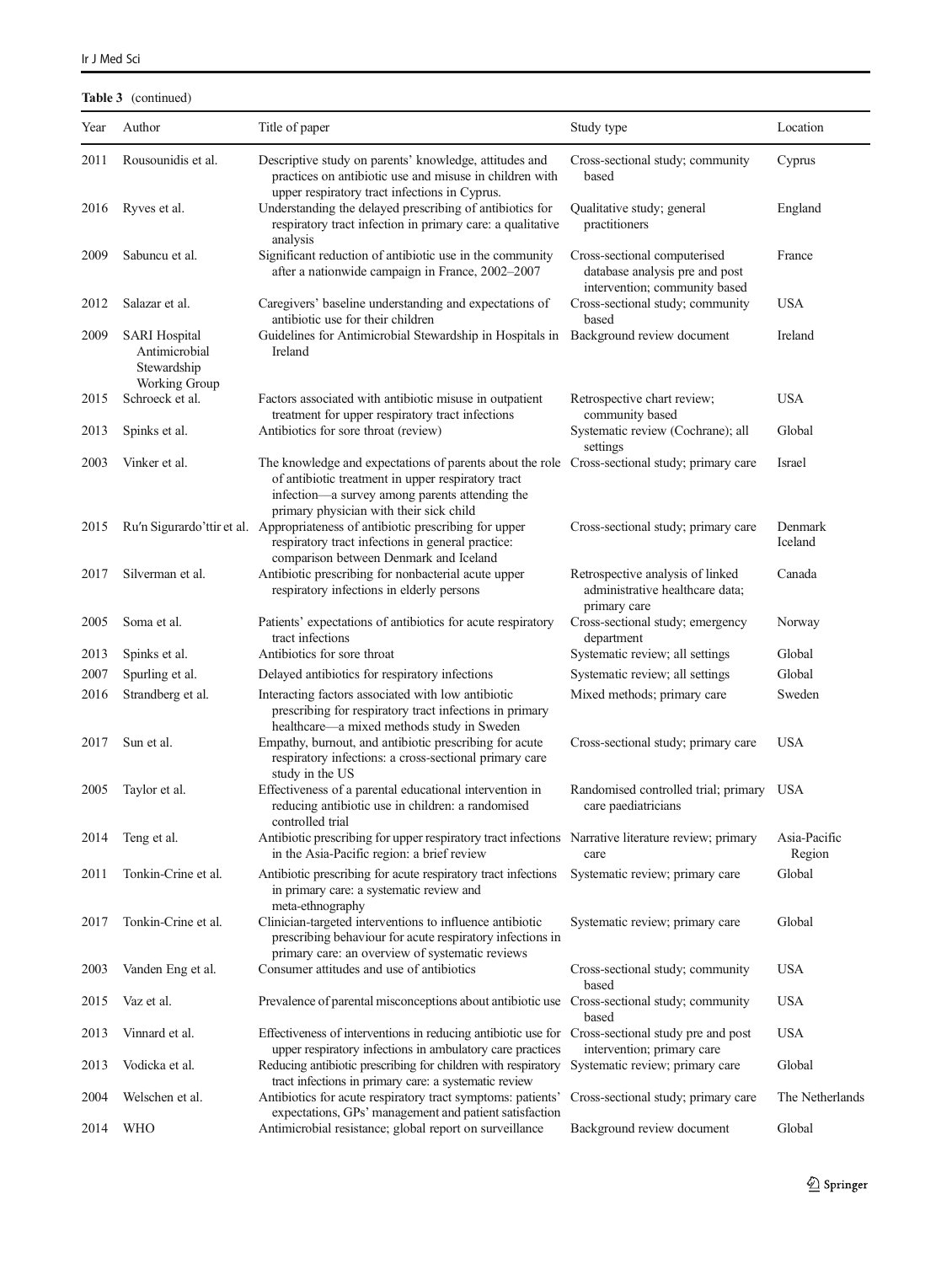### Table 3 (continued)

| Year | Author                                                                       | Title of paper                                                                                                                                                                                                                                  | Study type                                                                                      | Location               |
|------|------------------------------------------------------------------------------|-------------------------------------------------------------------------------------------------------------------------------------------------------------------------------------------------------------------------------------------------|-------------------------------------------------------------------------------------------------|------------------------|
| 2011 | Rousounidis et al.                                                           | Descriptive study on parents' knowledge, attitudes and<br>practices on antibiotic use and misuse in children with<br>upper respiratory tract infections in Cyprus.                                                                              | Cross-sectional study; community<br>based                                                       | Cyprus                 |
| 2016 | Ryves et al.                                                                 | Understanding the delayed prescribing of antibiotics for<br>respiratory tract infection in primary care: a qualitative<br>analysis                                                                                                              | Qualitative study; general<br>practitioners                                                     | England                |
| 2009 | Sabuncu et al.                                                               | Significant reduction of antibiotic use in the community<br>after a nationwide campaign in France, 2002-2007                                                                                                                                    | Cross-sectional computerised<br>database analysis pre and post<br>intervention; community based | France                 |
| 2012 | Salazar et al.                                                               | Caregivers' baseline understanding and expectations of<br>antibiotic use for their children                                                                                                                                                     | Cross-sectional study; community<br>based                                                       | <b>USA</b>             |
| 2009 | <b>SARI</b> Hospital<br>Antimicrobial<br>Stewardship<br><b>Working Group</b> | Guidelines for Antimicrobial Stewardship in Hospitals in<br>Ireland                                                                                                                                                                             | Background review document                                                                      | Ireland                |
| 2015 | Schroeck et al.                                                              | Factors associated with antibiotic misuse in outpatient<br>treatment for upper respiratory tract infections                                                                                                                                     | Retrospective chart review;<br>community based                                                  | <b>USA</b>             |
| 2013 | Spinks et al.                                                                | Antibiotics for sore throat (review)                                                                                                                                                                                                            | Systematic review (Cochrane); all<br>settings                                                   | Global                 |
| 2003 | Vinker et al.                                                                | The knowledge and expectations of parents about the role Cross-sectional study; primary care<br>of antibiotic treatment in upper respiratory tract<br>infection—a survey among parents attending the<br>primary physician with their sick child |                                                                                                 | Israel                 |
| 2015 |                                                                              | Ru'n Sigurardo'ttir et al. Appropriateness of antibiotic prescribing for upper<br>respiratory tract infections in general practice:<br>comparison between Denmark and Iceland                                                                   | Cross-sectional study; primary care                                                             | Denmark<br>Iceland     |
| 2017 | Silverman et al.                                                             | Antibiotic prescribing for nonbacterial acute upper<br>respiratory infections in elderly persons                                                                                                                                                | Retrospective analysis of linked<br>administrative healthcare data;<br>primary care             | Canada                 |
| 2005 | Soma et al.                                                                  | Patients' expectations of antibiotics for acute respiratory<br>tract infections                                                                                                                                                                 | Cross-sectional study; emergency<br>department                                                  | Norway                 |
| 2013 | Spinks et al.                                                                | Antibiotics for sore throat                                                                                                                                                                                                                     | Systematic review; all settings                                                                 | Global                 |
| 2007 | Spurling et al.                                                              | Delayed antibiotics for respiratory infections                                                                                                                                                                                                  | Systematic review; all settings                                                                 | Global                 |
| 2016 | Strandberg et al.                                                            | Interacting factors associated with low antibiotic<br>prescribing for respiratory tract infections in primary<br>healthcare—a mixed methods study in Sweden                                                                                     | Mixed methods; primary care                                                                     | Sweden                 |
| 2017 | Sun et al.                                                                   | Empathy, burnout, and antibiotic prescribing for acute<br>respiratory infections: a cross-sectional primary care<br>study in the US                                                                                                             | Cross-sectional study; primary care                                                             | <b>USA</b>             |
| 2005 | Taylor et al.                                                                | Effectiveness of a parental educational intervention in<br>reducing antibiotic use in children: a randomised<br>controlled trial                                                                                                                | Randomised controlled trial; primary USA<br>care paediatricians                                 |                        |
| 2014 | Teng et al.                                                                  | Antibiotic prescribing for upper respiratory tract infections Narrative literature review; primary<br>in the Asia-Pacific region: a brief review                                                                                                | care                                                                                            | Asia-Pacific<br>Region |
| 2011 | Tonkin-Crine et al.                                                          | Antibiotic prescribing for acute respiratory tract infections<br>in primary care: a systematic review and<br>meta-ethnography                                                                                                                   | Systematic review; primary care                                                                 | Global                 |
| 2017 | Tonkin-Crine et al.                                                          | Clinician-targeted interventions to influence antibiotic<br>prescribing behaviour for acute respiratory infections in                                                                                                                           | Systematic review; primary care                                                                 | Global                 |
| 2003 | Vanden Eng et al.                                                            | primary care: an overview of systematic reviews<br>Consumer attitudes and use of antibiotics                                                                                                                                                    | Cross-sectional study; community<br>based                                                       | <b>USA</b>             |
| 2015 | Vaz et al.                                                                   | Prevalence of parental misconceptions about antibiotic use Cross-sectional study; community                                                                                                                                                     | based                                                                                           | <b>USA</b>             |
| 2013 | Vinnard et al.                                                               | Effectiveness of interventions in reducing antibiotic use for Cross-sectional study pre and post<br>upper respiratory infections in ambulatory care practices                                                                                   | intervention; primary care                                                                      | <b>USA</b>             |
| 2013 | Vodicka et al.                                                               | Reducing antibiotic prescribing for children with respiratory<br>tract infections in primary care: a systematic review                                                                                                                          | Systematic review; primary care                                                                 | Global                 |
| 2004 | Welschen et al.                                                              | Antibiotics for acute respiratory tract symptoms: patients'<br>expectations, GPs' management and patient satisfaction                                                                                                                           | Cross-sectional study; primary care                                                             | The Netherlands        |
| 2014 | <b>WHO</b>                                                                   | Antimicrobial resistance; global report on surveillance                                                                                                                                                                                         | Background review document                                                                      | Global                 |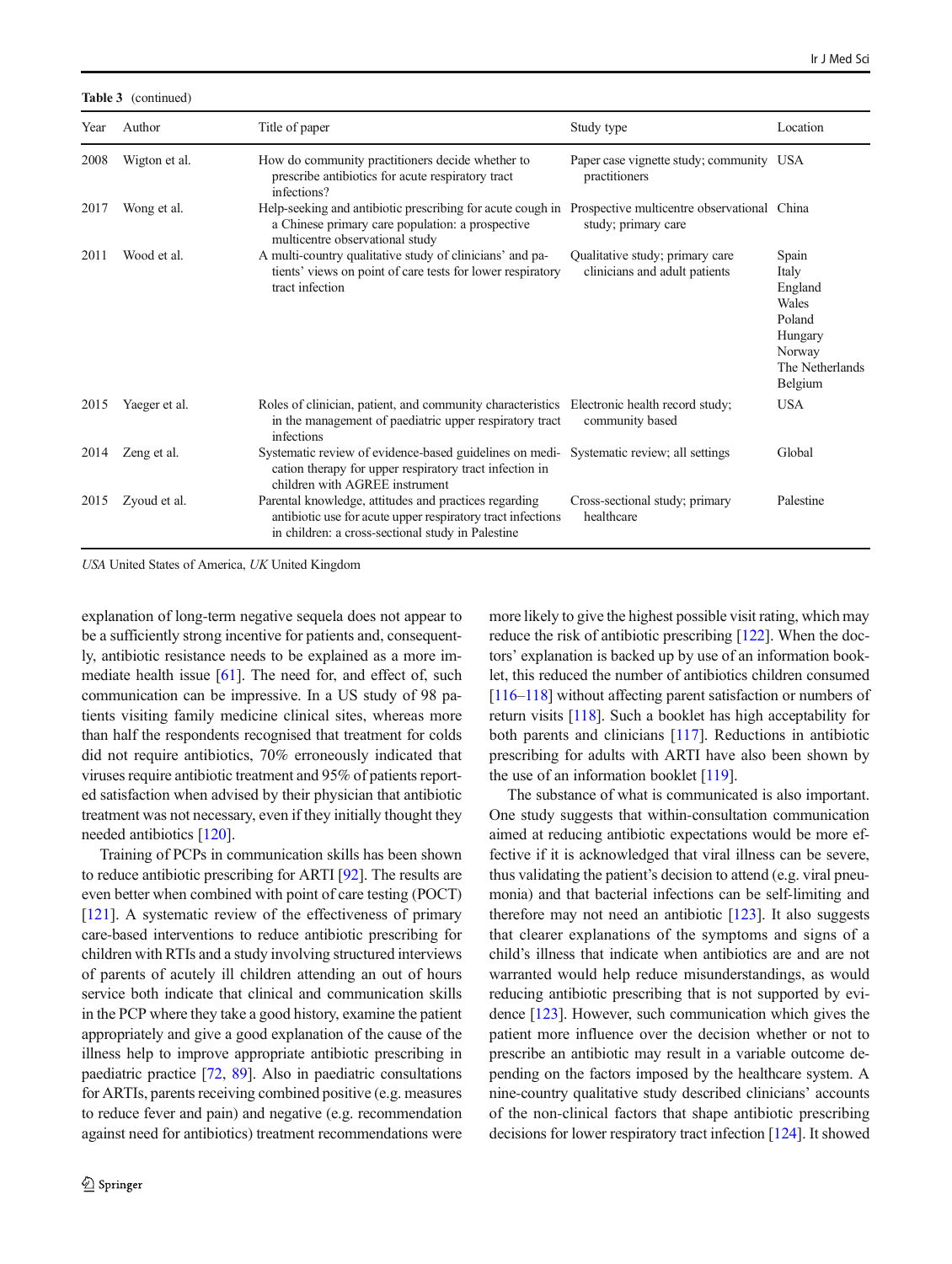Table 3 (continued)

| Year | Author        | Title of paper                                                                                                                                                            | Study type                                                         | Location                                                                                        |
|------|---------------|---------------------------------------------------------------------------------------------------------------------------------------------------------------------------|--------------------------------------------------------------------|-------------------------------------------------------------------------------------------------|
| 2008 | Wigton et al. | How do community practitioners decide whether to<br>prescribe antibiotics for acute respiratory tract<br>infections?                                                      | Paper case vignette study; community USA<br>practitioners          |                                                                                                 |
| 2017 | Wong et al.   | Help-seeking and antibiotic prescribing for acute cough in<br>a Chinese primary care population: a prospective<br>multicentre observational study                         | Prospective multicentre observational China<br>study; primary care |                                                                                                 |
| 2011 | Wood et al.   | A multi-country qualitative study of clinicians' and pa-<br>tients' views on point of care tests for lower respiratory<br>tract infection                                 | Qualitative study; primary care<br>clinicians and adult patients   | Spain<br>Italy<br>England<br>Wales<br>Poland<br>Hungary<br>Norway<br>The Netherlands<br>Belgium |
| 2015 | Yaeger et al. | Roles of clinician, patient, and community characteristics Electronic health record study;<br>in the management of paediatric upper respiratory tract<br>infections       | community based                                                    | <b>USA</b>                                                                                      |
| 2014 | Zeng et al.   | Systematic review of evidence-based guidelines on medi-<br>cation therapy for upper respiratory tract infection in<br>children with AGREE instrument                      | Systematic review; all settings                                    | Global                                                                                          |
| 2015 | Zyoud et al.  | Parental knowledge, attitudes and practices regarding<br>antibiotic use for acute upper respiratory tract infections<br>in children: a cross-sectional study in Palestine | Cross-sectional study; primary<br>healthcare                       | Palestine                                                                                       |

USA United States of America, UK United Kingdom

explanation of long-term negative sequela does not appear to be a sufficiently strong incentive for patients and, consequently, antibiotic resistance needs to be explained as a more immediate health issue [\[61\]](#page-15-0). The need for, and effect of, such communication can be impressive. In a US study of 98 patients visiting family medicine clinical sites, whereas more than half the respondents recognised that treatment for colds did not require antibiotics, 70% erroneously indicated that viruses require antibiotic treatment and 95% of patients reported satisfaction when advised by their physician that antibiotic treatment was not necessary, even if they initially thought they needed antibiotics [\[120\]](#page-17-0).

Training of PCPs in communication skills has been shown to reduce antibiotic prescribing for ARTI [[92\]](#page-16-0). The results are even better when combined with point of care testing (POCT) [\[121](#page-17-0)]. A systematic review of the effectiveness of primary care-based interventions to reduce antibiotic prescribing for children with RTIs and a study involving structured interviews of parents of acutely ill children attending an out of hours service both indicate that clinical and communication skills in the PCP where they take a good history, examine the patient appropriately and give a good explanation of the cause of the illness help to improve appropriate antibiotic prescribing in paediatric practice [\[72](#page-15-0), [89\]](#page-16-0). Also in paediatric consultations for ARTIs, parents receiving combined positive (e.g. measures to reduce fever and pain) and negative (e.g. recommendation against need for antibiotics) treatment recommendations were

more likely to give the highest possible visit rating, which may reduce the risk of antibiotic prescribing [\[122\]](#page-17-0). When the doctors' explanation is backed up by use of an information booklet, this reduced the number of antibiotics children consumed [\[116](#page-16-0)–[118\]](#page-17-0) without affecting parent satisfaction or numbers of return visits [[118](#page-17-0)]. Such a booklet has high acceptability for both parents and clinicians [[117\]](#page-17-0). Reductions in antibiotic prescribing for adults with ARTI have also been shown by the use of an information booklet [[119](#page-17-0)].

The substance of what is communicated is also important. One study suggests that within-consultation communication aimed at reducing antibiotic expectations would be more effective if it is acknowledged that viral illness can be severe, thus validating the patient's decision to attend (e.g. viral pneumonia) and that bacterial infections can be self-limiting and therefore may not need an antibiotic  $[123]$  $[123]$  $[123]$ . It also suggests that clearer explanations of the symptoms and signs of a child's illness that indicate when antibiotics are and are not warranted would help reduce misunderstandings, as would reducing antibiotic prescribing that is not supported by evidence [[123](#page-17-0)]. However, such communication which gives the patient more influence over the decision whether or not to prescribe an antibiotic may result in a variable outcome depending on the factors imposed by the healthcare system. A nine-country qualitative study described clinicians' accounts of the non-clinical factors that shape antibiotic prescribing decisions for lower respiratory tract infection [\[124\]](#page-17-0). It showed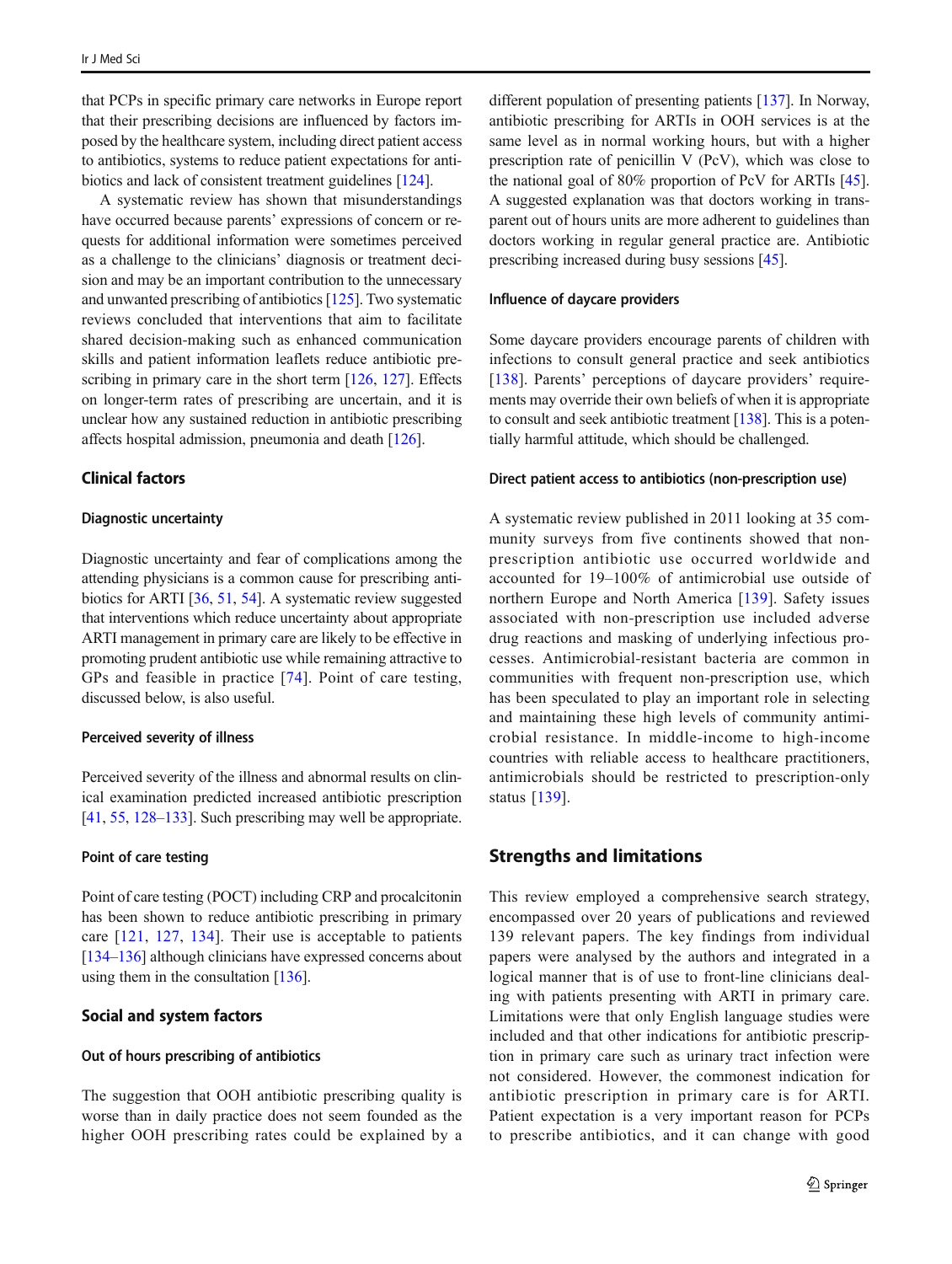that PCPs in specific primary care networks in Europe report that their prescribing decisions are influenced by factors imposed by the healthcare system, including direct patient access to antibiotics, systems to reduce patient expectations for antibiotics and lack of consistent treatment guidelines [\[124\]](#page-17-0).

A systematic review has shown that misunderstandings have occurred because parents' expressions of concern or requests for additional information were sometimes perceived as a challenge to the clinicians' diagnosis or treatment decision and may be an important contribution to the unnecessary and unwanted prescribing of antibiotics [\[125\]](#page-17-0). Two systematic reviews concluded that interventions that aim to facilitate shared decision-making such as enhanced communication skills and patient information leaflets reduce antibiotic pre-scribing in primary care in the short term [[126,](#page-17-0) [127\]](#page-17-0). Effects on longer-term rates of prescribing are uncertain, and it is unclear how any sustained reduction in antibiotic prescribing affects hospital admission, pneumonia and death [[126\]](#page-17-0).

### Clinical factors

#### Diagnostic uncertainty

Diagnostic uncertainty and fear of complications among the attending physicians is a common cause for prescribing antibiotics for ARTI [\[36,](#page-14-0) [51,](#page-14-0) [54\]](#page-15-0). A systematic review suggested that interventions which reduce uncertainty about appropriate ARTI management in primary care are likely to be effective in promoting prudent antibiotic use while remaining attractive to GPs and feasible in practice [[74](#page-15-0)]. Point of care testing, discussed below, is also useful.

### Perceived severity of illness

Perceived severity of the illness and abnormal results on clinical examination predicted increased antibiotic prescription [\[41,](#page-14-0) [55,](#page-15-0) [128](#page-17-0)–[133\]](#page-17-0). Such prescribing may well be appropriate.

#### Point of care testing

Point of care testing (POCT) including CRP and procalcitonin has been shown to reduce antibiotic prescribing in primary care [\[121,](#page-17-0) [127,](#page-17-0) [134](#page-17-0)]. Their use is acceptable to patients [\[134](#page-17-0)–[136](#page-17-0)] although clinicians have expressed concerns about using them in the consultation [\[136](#page-17-0)].

### Social and system factors

#### Out of hours prescribing of antibiotics

The suggestion that OOH antibiotic prescribing quality is worse than in daily practice does not seem founded as the higher OOH prescribing rates could be explained by a

different population of presenting patients [[137](#page-17-0)]. In Norway, antibiotic prescribing for ARTIs in OOH services is at the same level as in normal working hours, but with a higher prescription rate of penicillin V (PcV), which was close to the national goal of 80% proportion of PcV for ARTIs [[45\]](#page-14-0). A suggested explanation was that doctors working in transparent out of hours units are more adherent to guidelines than doctors working in regular general practice are. Antibiotic prescribing increased during busy sessions [[45\]](#page-14-0).

### Influence of daycare providers

Some daycare providers encourage parents of children with infections to consult general practice and seek antibiotics [\[138\]](#page-17-0). Parents' perceptions of daycare providers' requirements may override their own beliefs of when it is appropriate to consult and seek antibiotic treatment [\[138\]](#page-17-0). This is a potentially harmful attitude, which should be challenged.

#### Direct patient access to antibiotics (non-prescription use)

A systematic review published in 2011 looking at 35 community surveys from five continents showed that nonprescription antibiotic use occurred worldwide and accounted for 19–100% of antimicrobial use outside of northern Europe and North America [\[139\]](#page-17-0). Safety issues associated with non-prescription use included adverse drug reactions and masking of underlying infectious processes. Antimicrobial-resistant bacteria are common in communities with frequent non-prescription use, which has been speculated to play an important role in selecting and maintaining these high levels of community antimicrobial resistance. In middle-income to high-income countries with reliable access to healthcare practitioners, antimicrobials should be restricted to prescription-only status [[139](#page-17-0)].

## Strengths and limitations

This review employed a comprehensive search strategy, encompassed over 20 years of publications and reviewed 139 relevant papers. The key findings from individual papers were analysed by the authors and integrated in a logical manner that is of use to front-line clinicians dealing with patients presenting with ARTI in primary care. Limitations were that only English language studies were included and that other indications for antibiotic prescription in primary care such as urinary tract infection were not considered. However, the commonest indication for antibiotic prescription in primary care is for ARTI. Patient expectation is a very important reason for PCPs to prescribe antibiotics, and it can change with good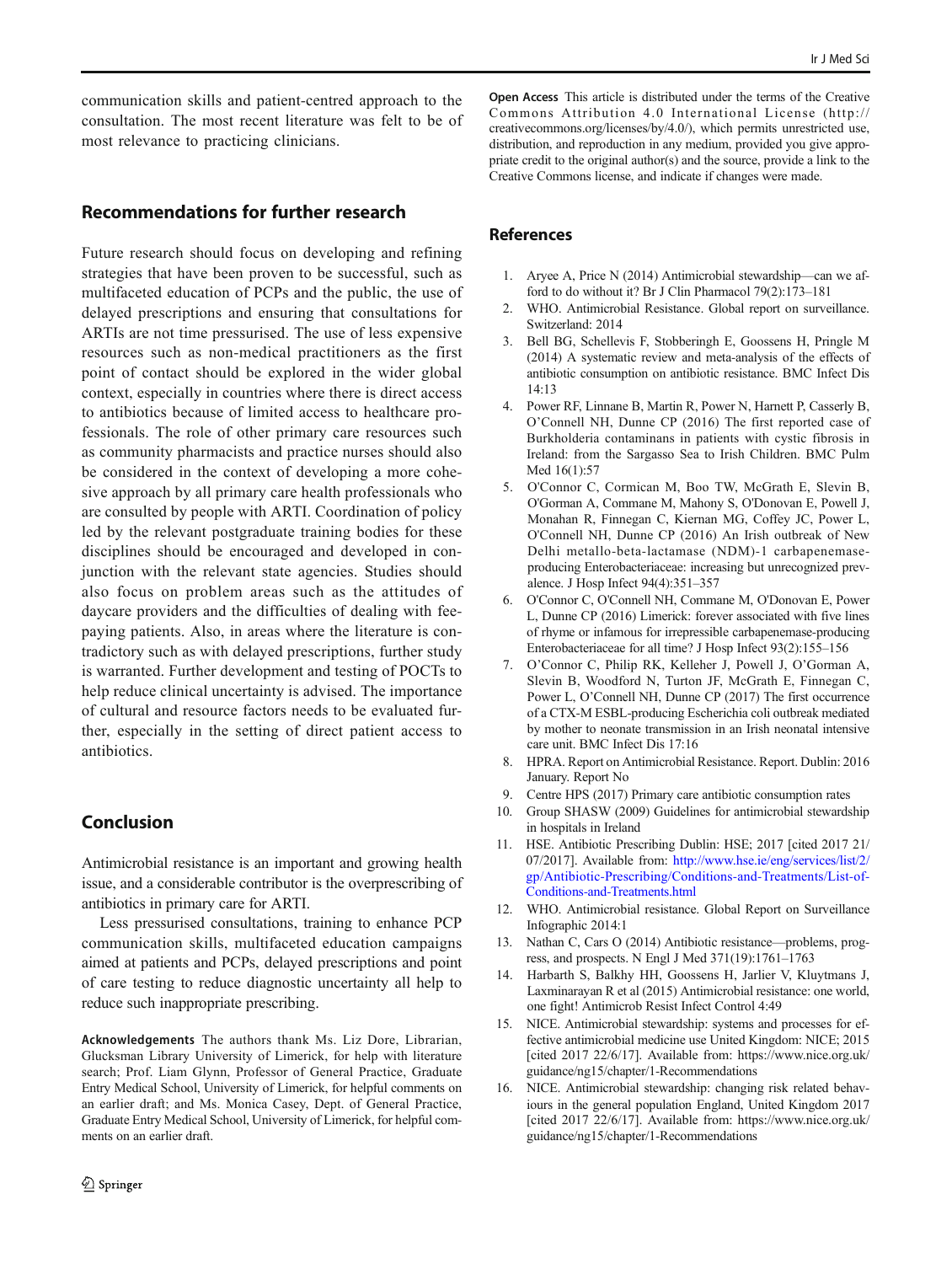<span id="page-13-0"></span>communication skills and patient-centred approach to the consultation. The most recent literature was felt to be of most relevance to practicing clinicians.

# Recommendations for further research

Future research should focus on developing and refining strategies that have been proven to be successful, such as multifaceted education of PCPs and the public, the use of delayed prescriptions and ensuring that consultations for ARTIs are not time pressurised. The use of less expensive resources such as non-medical practitioners as the first point of contact should be explored in the wider global context, especially in countries where there is direct access to antibiotics because of limited access to healthcare professionals. The role of other primary care resources such as community pharmacists and practice nurses should also be considered in the context of developing a more cohesive approach by all primary care health professionals who are consulted by people with ARTI. Coordination of policy led by the relevant postgraduate training bodies for these disciplines should be encouraged and developed in conjunction with the relevant state agencies. Studies should also focus on problem areas such as the attitudes of daycare providers and the difficulties of dealing with feepaying patients. Also, in areas where the literature is contradictory such as with delayed prescriptions, further study is warranted. Further development and testing of POCTs to help reduce clinical uncertainty is advised. The importance of cultural and resource factors needs to be evaluated further, especially in the setting of direct patient access to antibiotics.

# Conclusion

Antimicrobial resistance is an important and growing health issue, and a considerable contributor is the overprescribing of antibiotics in primary care for ARTI.

Less pressurised consultations, training to enhance PCP communication skills, multifaceted education campaigns aimed at patients and PCPs, delayed prescriptions and point of care testing to reduce diagnostic uncertainty all help to reduce such inappropriate prescribing.

Acknowledgements The authors thank Ms. Liz Dore, Librarian, Glucksman Library University of Limerick, for help with literature search; Prof. Liam Glynn, Professor of General Practice, Graduate Entry Medical School, University of Limerick, for helpful comments on an earlier draft; and Ms. Monica Casey, Dept. of General Practice, Graduate Entry Medical School, University of Limerick, for helpful comments on an earlier draft.

Open Access This article is distributed under the terms of the Creative Commons Attribution 4.0 International License (http:// creativecommons.org/licenses/by/4.0/), which permits unrestricted use, distribution, and reproduction in any medium, provided you give appropriate credit to the original author(s) and the source, provide a link to the Creative Commons license, and indicate if changes were made.

### References

- 1. Aryee A, Price N (2014) Antimicrobial stewardship—can we afford to do without it? Br J Clin Pharmacol 79(2):173–181
- 2. WHO. Antimicrobial Resistance. Global report on surveillance. Switzerland: 2014
- 3. Bell BG, Schellevis F, Stobberingh E, Goossens H, Pringle M (2014) A systematic review and meta-analysis of the effects of antibiotic consumption on antibiotic resistance. BMC Infect Dis 14:13
- 4. Power RF, Linnane B, Martin R, Power N, Harnett P, Casserly B, O'Connell NH, Dunne CP (2016) The first reported case of Burkholderia contaminans in patients with cystic fibrosis in Ireland: from the Sargasso Sea to Irish Children. BMC Pulm Med 16(1):57
- 5. O'Connor C, Cormican M, Boo TW, McGrath E, Slevin B, O'Gorman A, Commane M, Mahony S, O'Donovan E, Powell J, Monahan R, Finnegan C, Kiernan MG, Coffey JC, Power L, O'Connell NH, Dunne CP (2016) An Irish outbreak of New Delhi metallo-beta-lactamase (NDM)-1 carbapenemaseproducing Enterobacteriaceae: increasing but unrecognized prevalence. J Hosp Infect 94(4):351–357
- 6. O'Connor C, O'Connell NH, Commane M, O'Donovan E, Power L, Dunne CP (2016) Limerick: forever associated with five lines of rhyme or infamous for irrepressible carbapenemase-producing Enterobacteriaceae for all time? J Hosp Infect 93(2):155–156
- 7. O'Connor C, Philip RK, Kelleher J, Powell J, O'Gorman A, Slevin B, Woodford N, Turton JF, McGrath E, Finnegan C, Power L, O'Connell NH, Dunne CP (2017) The first occurrence of a CTX-M ESBL-producing Escherichia coli outbreak mediated by mother to neonate transmission in an Irish neonatal intensive care unit. BMC Infect Dis 17:16
- 8. HPRA. Report on Antimicrobial Resistance. Report. Dublin: 2016 January. Report No
- 9. Centre HPS (2017) Primary care antibiotic consumption rates
- 10. Group SHASW (2009) Guidelines for antimicrobial stewardship in hospitals in Ireland
- 11. HSE. Antibiotic Prescribing Dublin: HSE; 2017 [cited 2017 21/ 07/2017]. Available from: [http://www.hse.ie/eng/services/list/2/](http://www.hse.ie/eng/services/list/2/gp/Antibiotic-Prescribing/Conditions-and-Treatments/List-of-Conditions-and-Treatments.html) [gp/Antibiotic-Prescribing/Conditions-and-Treatments/List-of-](http://www.hse.ie/eng/services/list/2/gp/Antibiotic-Prescribing/Conditions-and-Treatments/List-of-Conditions-and-Treatments.html)[Conditions-and-Treatments.html](http://www.hse.ie/eng/services/list/2/gp/Antibiotic-Prescribing/Conditions-and-Treatments/List-of-Conditions-and-Treatments.html)
- 12. WHO. Antimicrobial resistance. Global Report on Surveillance Infographic 2014:1
- 13. Nathan C, Cars O (2014) Antibiotic resistance—problems, progress, and prospects. N Engl J Med 371(19):1761–1763
- 14. Harbarth S, Balkhy HH, Goossens H, Jarlier V, Kluytmans J, Laxminarayan R et al (2015) Antimicrobial resistance: one world, one fight! Antimicrob Resist Infect Control 4:49
- 15. NICE. Antimicrobial stewardship: systems and processes for effective antimicrobial medicine use United Kingdom: NICE; 2015 [cited 2017 22/6/17]. Available from: https://www.nice.org.uk/ guidance/ng15/chapter/1-Recommendations
- 16. NICE. Antimicrobial stewardship: changing risk related behaviours in the general population England, United Kingdom 2017 [cited 2017 22/6/17]. Available from: https://www.nice.org.uk/ guidance/ng15/chapter/1-Recommendations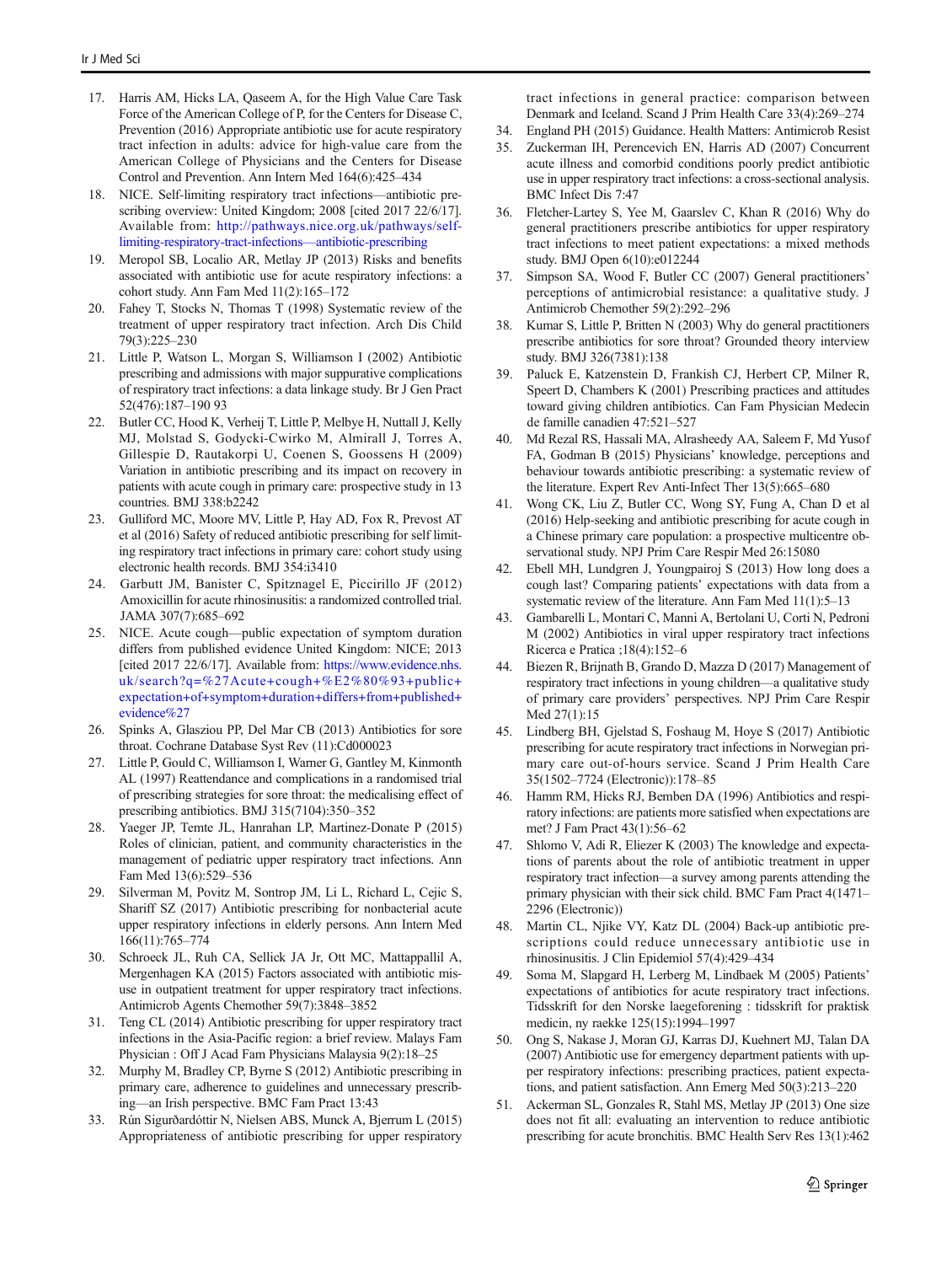- <span id="page-14-0"></span>17. Harris AM, Hicks LA, Qaseem A, for the High Value Care Task Force of the American College of P, for the Centers for Disease C, Prevention (2016) Appropriate antibiotic use for acute respiratory tract infection in adults: advice for high-value care from the American College of Physicians and the Centers for Disease Control and Prevention. Ann Intern Med 164(6):425–434
- 18. NICE. Self-limiting respiratory tract infections—antibiotic prescribing overview: United Kingdom; 2008 [cited 2017 22/6/17]. Available from: [http://pathways.nice.org.uk/pathways/self](http://pathways.nice.org.uk/pathways/self-limiting-respiratory-tract-infections---antibiotic-prescribing)[limiting-respiratory-tract-infections](http://pathways.nice.org.uk/pathways/self-limiting-respiratory-tract-infections---antibiotic-prescribing)—antibiotic-prescribing
- 19. Meropol SB, Localio AR, Metlay JP (2013) Risks and benefits associated with antibiotic use for acute respiratory infections: a cohort study. Ann Fam Med 11(2):165–172
- 20. Fahey T, Stocks N, Thomas T (1998) Systematic review of the treatment of upper respiratory tract infection. Arch Dis Child 79(3):225–230
- 21. Little P, Watson L, Morgan S, Williamson I (2002) Antibiotic prescribing and admissions with major suppurative complications of respiratory tract infections: a data linkage study. Br J Gen Pract 52(476):187–190 93
- 22. Butler CC, Hood K, Verheij T, Little P, Melbye H, Nuttall J, Kelly MJ, Molstad S, Godycki-Cwirko M, Almirall J, Torres A, Gillespie D, Rautakorpi U, Coenen S, Goossens H (2009) Variation in antibiotic prescribing and its impact on recovery in patients with acute cough in primary care: prospective study in 13 countries. BMJ 338:b2242
- 23. Gulliford MC, Moore MV, Little P, Hay AD, Fox R, Prevost AT et al (2016) Safety of reduced antibiotic prescribing for self limiting respiratory tract infections in primary care: cohort study using electronic health records. BMJ 354:i3410
- 24. Garbutt JM, Banister C, Spitznagel E, Piccirillo JF (2012) Amoxicillin for acute rhinosinusitis: a randomized controlled trial. JAMA 307(7):685–692
- 25. NICE. Acute cough—public expectation of symptom duration differs from published evidence United Kingdom: NICE; 2013 [cited 2017 22/6/17]. Available from: [https://www.evidence.nhs.](https://www.evidence.nhs.uk/search?q=%27Acute+cough+%E2%80%93+public+expectation+of+symptom+duration+differs+from+published+evidence%27) [uk/search?q=%27Acute+cough+%E2%80%93+public+](https://www.evidence.nhs.uk/search?q=%27Acute+cough+%E2%80%93+public+expectation+of+symptom+duration+differs+from+published+evidence%27) [expectation+of+symptom+duration+differs+from+published+](https://www.evidence.nhs.uk/search?q=%27Acute+cough+%E2%80%93+public+expectation+of+symptom+duration+differs+from+published+evidence%27) [evidence%27](https://www.evidence.nhs.uk/search?q=%27Acute+cough+%E2%80%93+public+expectation+of+symptom+duration+differs+from+published+evidence%27)
- 26. Spinks A, Glasziou PP, Del Mar CB (2013) Antibiotics for sore throat. Cochrane Database Syst Rev (11):Cd000023
- 27. Little P, Gould C, Williamson I, Warner G, Gantley M, Kinmonth AL (1997) Reattendance and complications in a randomised trial of prescribing strategies for sore throat: the medicalising effect of prescribing antibiotics. BMJ 315(7104):350–352
- 28. Yaeger JP, Temte JL, Hanrahan LP, Martinez-Donate P (2015) Roles of clinician, patient, and community characteristics in the management of pediatric upper respiratory tract infections. Ann Fam Med 13(6):529–536
- 29. Silverman M, Povitz M, Sontrop JM, Li L, Richard L, Cejic S, Shariff SZ (2017) Antibiotic prescribing for nonbacterial acute upper respiratory infections in elderly persons. Ann Intern Med 166(11):765–774
- 30. Schroeck JL, Ruh CA, Sellick JA Jr, Ott MC, Mattappallil A, Mergenhagen KA (2015) Factors associated with antibiotic misuse in outpatient treatment for upper respiratory tract infections. Antimicrob Agents Chemother 59(7):3848–3852
- 31. Teng CL (2014) Antibiotic prescribing for upper respiratory tract infections in the Asia-Pacific region: a brief review. Malays Fam Physician : Off J Acad Fam Physicians Malaysia 9(2):18–25
- 32. Murphy M, Bradley CP, Byrne S (2012) Antibiotic prescribing in primary care, adherence to guidelines and unnecessary prescribing—an Irish perspective. BMC Fam Pract 13:43
- 33. Rún Sigurðardóttir N, Nielsen ABS, Munck A, Bjerrum L (2015) Appropriateness of antibiotic prescribing for upper respiratory

tract infections in general practice: comparison between Denmark and Iceland. Scand J Prim Health Care 33(4):269–274

- 34. England PH (2015) Guidance. Health Matters: Antimicrob Resist
- 35. Zuckerman IH, Perencevich EN, Harris AD (2007) Concurrent acute illness and comorbid conditions poorly predict antibiotic use in upper respiratory tract infections: a cross-sectional analysis. BMC Infect Dis 7:47
- 36. Fletcher-Lartey S, Yee M, Gaarslev C, Khan R (2016) Why do general practitioners prescribe antibiotics for upper respiratory tract infections to meet patient expectations: a mixed methods study. BMJ Open 6(10):e012244
- 37. Simpson SA, Wood F, Butler CC (2007) General practitioners' perceptions of antimicrobial resistance: a qualitative study. J Antimicrob Chemother 59(2):292–296
- 38. Kumar S, Little P, Britten N (2003) Why do general practitioners prescribe antibiotics for sore throat? Grounded theory interview study. BMJ 326(7381):138
- 39. Paluck E, Katzenstein D, Frankish CJ, Herbert CP, Milner R, Speert D, Chambers K (2001) Prescribing practices and attitudes toward giving children antibiotics. Can Fam Physician Medecin de famille canadien 47:521–527
- 40. Md Rezal RS, Hassali MA, Alrasheedy AA, Saleem F, Md Yusof FA, Godman B (2015) Physicians' knowledge, perceptions and behaviour towards antibiotic prescribing: a systematic review of the literature. Expert Rev Anti-Infect Ther 13(5):665–680
- 41. Wong CK, Liu Z, Butler CC, Wong SY, Fung A, Chan D et al (2016) Help-seeking and antibiotic prescribing for acute cough in a Chinese primary care population: a prospective multicentre observational study. NPJ Prim Care Respir Med 26:15080
- 42. Ebell MH, Lundgren J, Youngpairoj S (2013) How long does a cough last? Comparing patients' expectations with data from a systematic review of the literature. Ann Fam Med 11(1):5–13
- 43. Gambarelli L, Montari C, Manni A, Bertolani U, Corti N, Pedroni M (2002) Antibiotics in viral upper respiratory tract infections Ricerca e Pratica ;18(4):152–6
- 44. Biezen R, Brijnath B, Grando D, Mazza D (2017) Management of respiratory tract infections in young children—a qualitative study of primary care providers' perspectives. NPJ Prim Care Respir Med 27(1):15
- 45. Lindberg BH, Gjelstad S, Foshaug M, Hoye S (2017) Antibiotic prescribing for acute respiratory tract infections in Norwegian primary care out-of-hours service. Scand J Prim Health Care 35(1502–7724 (Electronic)):178–85
- 46. Hamm RM, Hicks RJ, Bemben DA (1996) Antibiotics and respiratory infections: are patients more satisfied when expectations are met? J Fam Pract 43(1):56–62
- 47. Shlomo V, Adi R, Eliezer K (2003) The knowledge and expectations of parents about the role of antibiotic treatment in upper respiratory tract infection—a survey among parents attending the primary physician with their sick child. BMC Fam Pract 4(1471– 2296 (Electronic))
- 48. Martin CL, Njike VY, Katz DL (2004) Back-up antibiotic prescriptions could reduce unnecessary antibiotic use in rhinosinusitis. J Clin Epidemiol 57(4):429–434
- 49. Soma M, Slapgard H, Lerberg M, Lindbaek M (2005) Patients' expectations of antibiotics for acute respiratory tract infections. Tidsskrift for den Norske laegeforening : tidsskrift for praktisk medicin, ny raekke 125(15):1994–1997
- 50. Ong S, Nakase J, Moran GJ, Karras DJ, Kuehnert MJ, Talan DA (2007) Antibiotic use for emergency department patients with upper respiratory infections: prescribing practices, patient expectations, and patient satisfaction. Ann Emerg Med 50(3):213–220
- 51. Ackerman SL, Gonzales R, Stahl MS, Metlay JP (2013) One size does not fit all: evaluating an intervention to reduce antibiotic prescribing for acute bronchitis. BMC Health Serv Res 13(1):462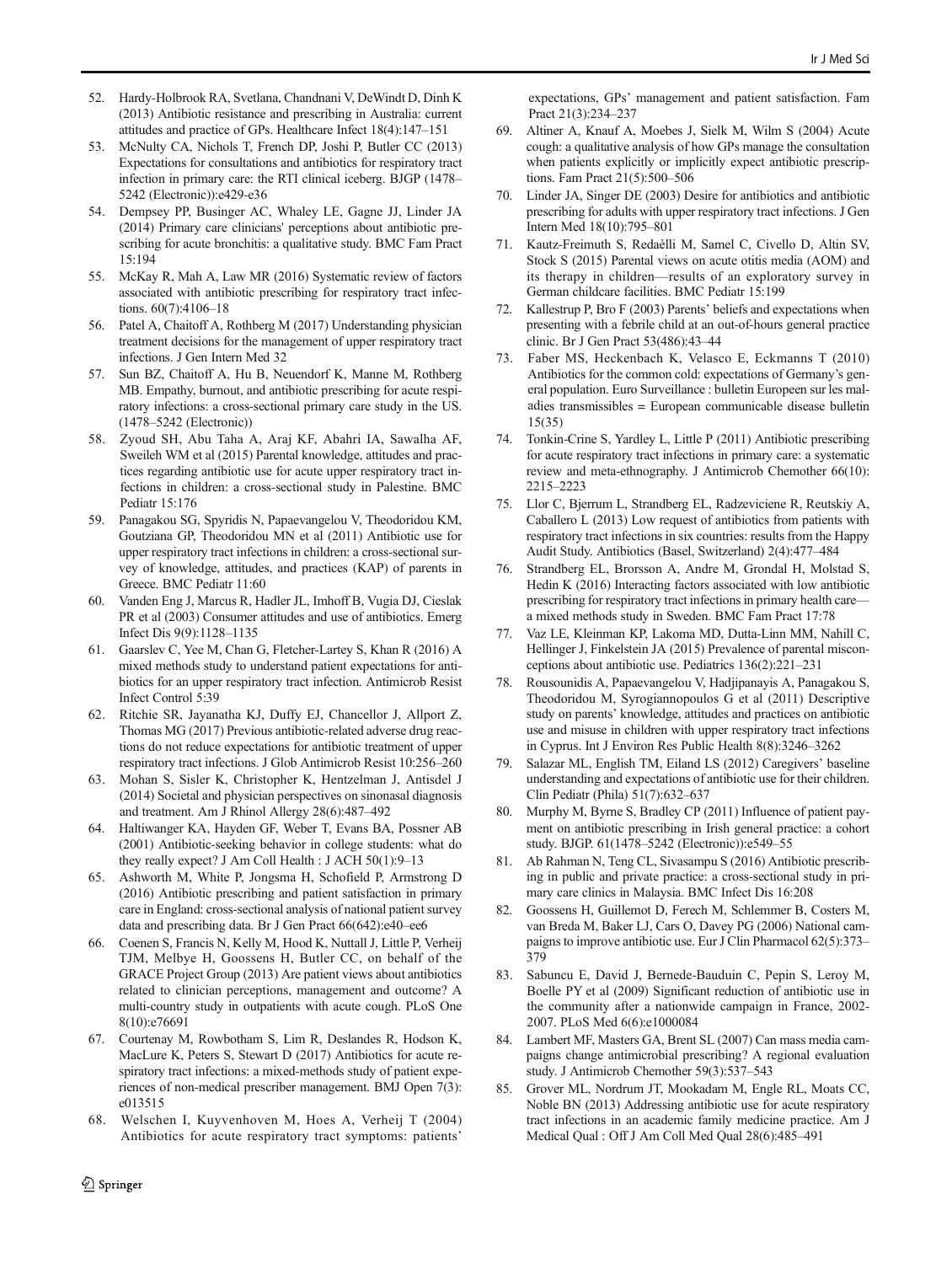- <span id="page-15-0"></span>52. Hardy-Holbrook RA, Svetlana, Chandnani V, DeWindt D, Dinh K (2013) Antibiotic resistance and prescribing in Australia: current attitudes and practice of GPs. Healthcare Infect 18(4):147–151
- 53. McNulty CA, Nichols T, French DP, Joshi P, Butler CC (2013) Expectations for consultations and antibiotics for respiratory tract infection in primary care: the RTI clinical iceberg. BJGP (1478– 5242 (Electronic)):e429-e36
- 54. Dempsey PP, Businger AC, Whaley LE, Gagne JJ, Linder JA (2014) Primary care clinicians' perceptions about antibiotic prescribing for acute bronchitis: a qualitative study. BMC Fam Pract 15:194
- 55. McKay R, Mah A, Law MR (2016) Systematic review of factors associated with antibiotic prescribing for respiratory tract infections. 60(7):4106-18
- 56. Patel A, Chaitoff A, Rothberg M (2017) Understanding physician treatment decisions for the management of upper respiratory tract infections. J Gen Intern Med 32
- 57. Sun BZ, Chaitoff A, Hu B, Neuendorf K, Manne M, Rothberg MB. Empathy, burnout, and antibiotic prescribing for acute respiratory infections: a cross-sectional primary care study in the US. (1478–5242 (Electronic))
- 58. Zyoud SH, Abu Taha A, Araj KF, Abahri IA, Sawalha AF, Sweileh WM et al (2015) Parental knowledge, attitudes and practices regarding antibiotic use for acute upper respiratory tract infections in children: a cross-sectional study in Palestine. BMC Pediatr 15:176
- 59. Panagakou SG, Spyridis N, Papaevangelou V, Theodoridou KM, Goutziana GP, Theodoridou MN et al (2011) Antibiotic use for upper respiratory tract infections in children: a cross-sectional survey of knowledge, attitudes, and practices (KAP) of parents in Greece. BMC Pediatr 11:60
- 60. Vanden Eng J, Marcus R, Hadler JL, Imhoff B, Vugia DJ, Cieslak PR et al (2003) Consumer attitudes and use of antibiotics. Emerg Infect Dis 9(9):1128–1135
- 61. Gaarslev C, Yee M, Chan G, Fletcher-Lartey S, Khan R (2016) A mixed methods study to understand patient expectations for antibiotics for an upper respiratory tract infection. Antimicrob Resist Infect Control 5:39
- 62. Ritchie SR, Jayanatha KJ, Duffy EJ, Chancellor J, Allport Z, Thomas MG (2017) Previous antibiotic-related adverse drug reactions do not reduce expectations for antibiotic treatment of upper respiratory tract infections. J Glob Antimicrob Resist 10:256–260
- 63. Mohan S, Sisler K, Christopher K, Hentzelman J, Antisdel J (2014) Societal and physician perspectives on sinonasal diagnosis and treatment. Am J Rhinol Allergy 28(6):487–492
- 64. Haltiwanger KA, Hayden GF, Weber T, Evans BA, Possner AB (2001) Antibiotic-seeking behavior in college students: what do they really expect? J Am Coll Health : J ACH 50(1):9–13
- 65. Ashworth M, White P, Jongsma H, Schofield P, Armstrong D (2016) Antibiotic prescribing and patient satisfaction in primary care in England: cross-sectional analysis of national patient survey data and prescribing data. Br J Gen Pract 66(642):e40-ee6
- 66. Coenen S, Francis N, Kelly M, Hood K, Nuttall J, Little P, Verheij TJM, Melbye H, Goossens H, Butler CC, on behalf of the GRACE Project Group (2013) Are patient views about antibiotics related to clinician perceptions, management and outcome? A multi-country study in outpatients with acute cough. PLoS One 8(10):e76691
- 67. Courtenay M, Rowbotham S, Lim R, Deslandes R, Hodson K, MacLure K, Peters S, Stewart D (2017) Antibiotics for acute respiratory tract infections: a mixed-methods study of patient experiences of non-medical prescriber management. BMJ Open 7(3): e013515
- 68. Welschen I, Kuyvenhoven M, Hoes A, Verheij T (2004) Antibiotics for acute respiratory tract symptoms: patients'

expectations, GPs' management and patient satisfaction. Fam Pract 21(3):234–237

- 69. Altiner A, Knauf A, Moebes J, Sielk M, Wilm S (2004) Acute cough: a qualitative analysis of how GPs manage the consultation when patients explicitly or implicitly expect antibiotic prescriptions. Fam Pract 21(5):500–506
- 70. Linder JA, Singer DE (2003) Desire for antibiotics and antibiotic prescribing for adults with upper respiratory tract infections. J Gen Intern Med 18(10):795–801
- 71. Kautz-Freimuth S, Redaèlli M, Samel C, Civello D, Altin SV, Stock S (2015) Parental views on acute otitis media (AOM) and its therapy in children—results of an exploratory survey in German childcare facilities. BMC Pediatr 15:199
- 72. Kallestrup P, Bro F (2003) Parents' beliefs and expectations when presenting with a febrile child at an out-of-hours general practice clinic. Br J Gen Pract 53(486):43–44
- 73. Faber MS, Heckenbach K, Velasco E, Eckmanns T (2010) Antibiotics for the common cold: expectations of Germany's general population. Euro Surveillance : bulletin Europeen sur les maladies transmissibles = European communicable disease bulletin 15(35)
- 74. Tonkin-Crine S, Yardley L, Little P (2011) Antibiotic prescribing for acute respiratory tract infections in primary care: a systematic review and meta-ethnography. J Antimicrob Chemother 66(10): 2215–2223
- 75. Llor C, Bjerrum L, Strandberg EL, Radzeviciene R, Reutskiy A, Caballero L (2013) Low request of antibiotics from patients with respiratory tract infections in six countries: results from the Happy Audit Study. Antibiotics (Basel, Switzerland) 2(4):477–484
- 76. Strandberg EL, Brorsson A, Andre M, Grondal H, Molstad S, Hedin K (2016) Interacting factors associated with low antibiotic prescribing for respiratory tract infections in primary health care a mixed methods study in Sweden. BMC Fam Pract 17:78
- 77. Vaz LE, Kleinman KP, Lakoma MD, Dutta-Linn MM, Nahill C, Hellinger J, Finkelstein JA (2015) Prevalence of parental misconceptions about antibiotic use. Pediatrics 136(2):221–231
- 78. Rousounidis A, Papaevangelou V, Hadjipanayis A, Panagakou S, Theodoridou M, Syrogiannopoulos G et al (2011) Descriptive study on parents' knowledge, attitudes and practices on antibiotic use and misuse in children with upper respiratory tract infections in Cyprus. Int J Environ Res Public Health 8(8):3246–3262
- 79. Salazar ML, English TM, Eiland LS (2012) Caregivers' baseline understanding and expectations of antibiotic use for their children. Clin Pediatr (Phila) 51(7):632–637
- 80. Murphy M, Byrne S, Bradley CP (2011) Influence of patient payment on antibiotic prescribing in Irish general practice: a cohort study. BJGP. 61(1478–5242 (Electronic)):e549–55
- 81. Ab Rahman N, Teng CL, Sivasampu S (2016) Antibiotic prescribing in public and private practice: a cross-sectional study in primary care clinics in Malaysia. BMC Infect Dis 16:208
- 82. Goossens H, Guillemot D, Ferech M, Schlemmer B, Costers M, van Breda M, Baker LJ, Cars O, Davey PG (2006) National campaigns to improve antibiotic use. Eur J Clin Pharmacol 62(5):373– 379
- 83. Sabuncu E, David J, Bernede-Bauduin C, Pepin S, Leroy M, Boelle PY et al (2009) Significant reduction of antibiotic use in the community after a nationwide campaign in France, 2002- 2007. PLoS Med 6(6):e1000084
- 84. Lambert MF, Masters GA, Brent SL (2007) Can mass media campaigns change antimicrobial prescribing? A regional evaluation study. J Antimicrob Chemother 59(3):537–543
- 85. Grover ML, Nordrum JT, Mookadam M, Engle RL, Moats CC, Noble BN (2013) Addressing antibiotic use for acute respiratory tract infections in an academic family medicine practice. Am J Medical Qual : Off J Am Coll Med Qual 28(6):485–491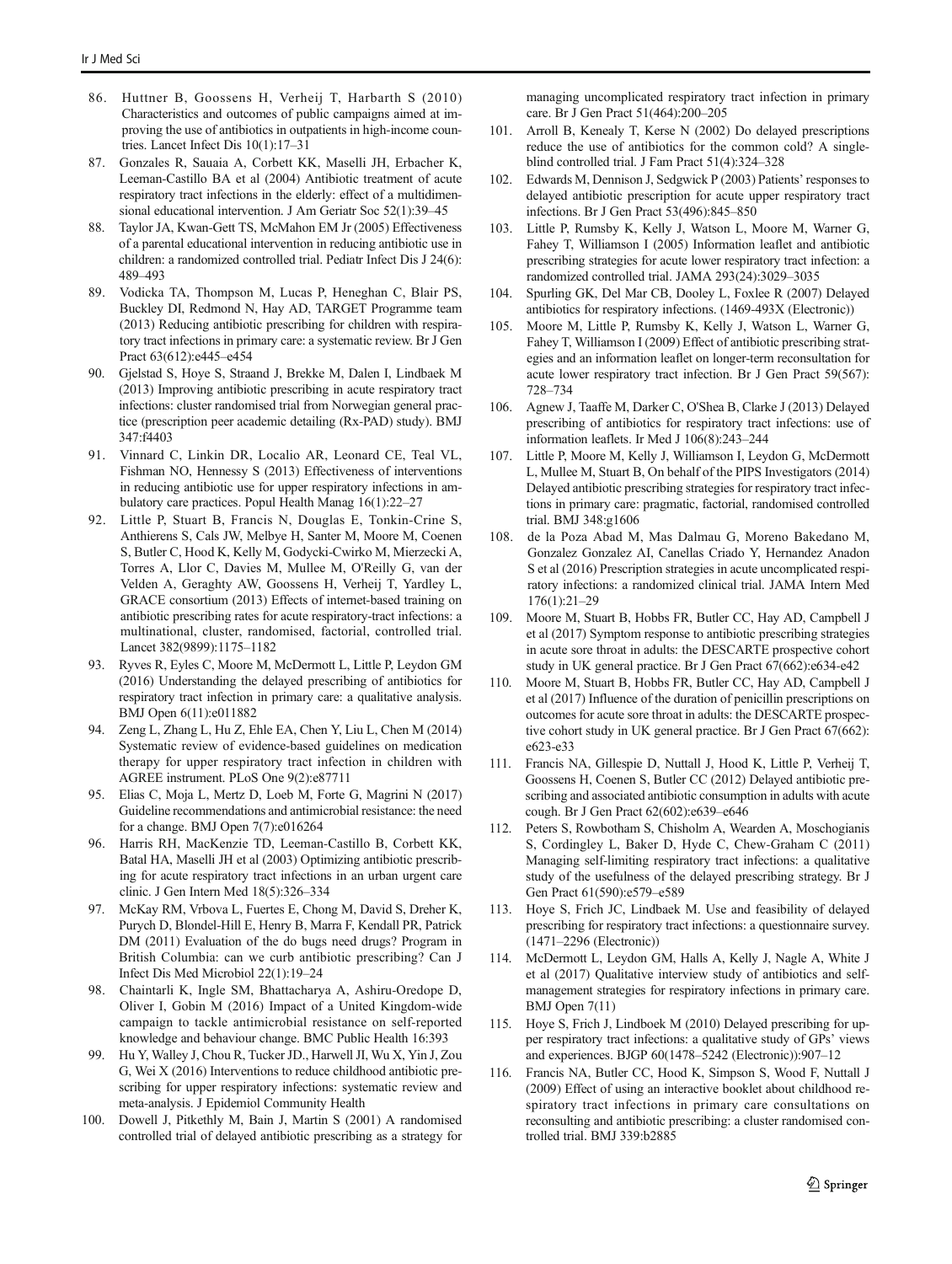- <span id="page-16-0"></span>86. Huttner B, Goossens H, Verheij T, Harbarth S (2010) Characteristics and outcomes of public campaigns aimed at improving the use of antibiotics in outpatients in high-income countries. Lancet Infect Dis 10(1):17–31
- 87. Gonzales R, Sauaia A, Corbett KK, Maselli JH, Erbacher K, Leeman-Castillo BA et al (2004) Antibiotic treatment of acute respiratory tract infections in the elderly: effect of a multidimensional educational intervention. J Am Geriatr Soc 52(1):39–45
- 88. Taylor JA, Kwan-Gett TS, McMahon EM Jr (2005) Effectiveness of a parental educational intervention in reducing antibiotic use in children: a randomized controlled trial. Pediatr Infect Dis J 24(6): 489–493
- 89. Vodicka TA, Thompson M, Lucas P, Heneghan C, Blair PS, Buckley DI, Redmond N, Hay AD, TARGET Programme team (2013) Reducing antibiotic prescribing for children with respiratory tract infections in primary care: a systematic review. Br J Gen Pract 63(612):e445–e454
- 90. Gjelstad S, Hoye S, Straand J, Brekke M, Dalen I, Lindbaek M (2013) Improving antibiotic prescribing in acute respiratory tract infections: cluster randomised trial from Norwegian general practice (prescription peer academic detailing (Rx-PAD) study). BMJ 347:f4403
- 91. Vinnard C, Linkin DR, Localio AR, Leonard CE, Teal VL, Fishman NO, Hennessy S (2013) Effectiveness of interventions in reducing antibiotic use for upper respiratory infections in ambulatory care practices. Popul Health Manag 16(1):22–27
- 92. Little P, Stuart B, Francis N, Douglas E, Tonkin-Crine S, Anthierens S, Cals JW, Melbye H, Santer M, Moore M, Coenen S, Butler C, Hood K, Kelly M, Godycki-Cwirko M, Mierzecki A, Torres A, Llor C, Davies M, Mullee M, O'Reilly G, van der Velden A, Geraghty AW, Goossens H, Verheij T, Yardley L, GRACE consortium (2013) Effects of internet-based training on antibiotic prescribing rates for acute respiratory-tract infections: a multinational, cluster, randomised, factorial, controlled trial. Lancet 382(9899):1175–1182
- 93. Ryves R, Eyles C, Moore M, McDermott L, Little P, Leydon GM (2016) Understanding the delayed prescribing of antibiotics for respiratory tract infection in primary care: a qualitative analysis. BMJ Open 6(11):e011882
- 94. Zeng L, Zhang L, Hu Z, Ehle EA, Chen Y, Liu L, Chen M (2014) Systematic review of evidence-based guidelines on medication therapy for upper respiratory tract infection in children with AGREE instrument. PLoS One 9(2):e87711
- 95. Elias C, Moja L, Mertz D, Loeb M, Forte G, Magrini N (2017) Guideline recommendations and antimicrobial resistance: the need for a change. BMJ Open 7(7):e016264
- 96. Harris RH, MacKenzie TD, Leeman-Castillo B, Corbett KK, Batal HA, Maselli JH et al (2003) Optimizing antibiotic prescribing for acute respiratory tract infections in an urban urgent care clinic. J Gen Intern Med 18(5):326–334
- 97. McKay RM, Vrbova L, Fuertes E, Chong M, David S, Dreher K, Purych D, Blondel-Hill E, Henry B, Marra F, Kendall PR, Patrick DM (2011) Evaluation of the do bugs need drugs? Program in British Columbia: can we curb antibiotic prescribing? Can J Infect Dis Med Microbiol 22(1):19–24
- 98. Chaintarli K, Ingle SM, Bhattacharya A, Ashiru-Oredope D, Oliver I, Gobin M (2016) Impact of a United Kingdom-wide campaign to tackle antimicrobial resistance on self-reported knowledge and behaviour change. BMC Public Health 16:393
- 99. Hu Y, Walley J, Chou R, Tucker JD., Harwell JI, Wu X, Yin J, Zou G, Wei X (2016) Interventions to reduce childhood antibiotic prescribing for upper respiratory infections: systematic review and meta-analysis. J Epidemiol Community Health
- 100. Dowell J, Pitkethly M, Bain J, Martin S (2001) A randomised controlled trial of delayed antibiotic prescribing as a strategy for

managing uncomplicated respiratory tract infection in primary care. Br J Gen Pract 51(464):200–205

- 101. Arroll B, Kenealy T, Kerse N (2002) Do delayed prescriptions reduce the use of antibiotics for the common cold? A singleblind controlled trial. J Fam Pract 51(4):324–328
- 102. Edwards M, Dennison J, Sedgwick P (2003) Patients' responses to delayed antibiotic prescription for acute upper respiratory tract infections. Br J Gen Pract 53(496):845–850
- 103. Little P, Rumsby K, Kelly J, Watson L, Moore M, Warner G, Fahey T, Williamson I (2005) Information leaflet and antibiotic prescribing strategies for acute lower respiratory tract infection: a randomized controlled trial. JAMA 293(24):3029–3035
- 104. Spurling GK, Del Mar CB, Dooley L, Foxlee R (2007) Delayed antibiotics for respiratory infections. (1469-493X (Electronic))
- 105. Moore M, Little P, Rumsby K, Kelly J, Watson L, Warner G, Fahey T, Williamson I (2009) Effect of antibiotic prescribing strategies and an information leaflet on longer-term reconsultation for acute lower respiratory tract infection. Br J Gen Pract 59(567): 728–734
- 106. Agnew J, Taaffe M, Darker C, O'Shea B, Clarke J (2013) Delayed prescribing of antibiotics for respiratory tract infections: use of information leaflets. Ir Med J 106(8):243–244
- 107. Little P, Moore M, Kelly J, Williamson I, Leydon G, McDermott L, Mullee M, Stuart B, On behalf of the PIPS Investigators (2014) Delayed antibiotic prescribing strategies for respiratory tract infections in primary care: pragmatic, factorial, randomised controlled trial. BMJ 348:g1606
- 108. de la Poza Abad M, Mas Dalmau G, Moreno Bakedano M, Gonzalez Gonzalez AI, Canellas Criado Y, Hernandez Anadon S et al (2016) Prescription strategies in acute uncomplicated respiratory infections: a randomized clinical trial. JAMA Intern Med 176(1):21–29
- 109. Moore M, Stuart B, Hobbs FR, Butler CC, Hay AD, Campbell J et al (2017) Symptom response to antibiotic prescribing strategies in acute sore throat in adults: the DESCARTE prospective cohort study in UK general practice. Br J Gen Pract 67(662):e634-e42
- 110. Moore M, Stuart B, Hobbs FR, Butler CC, Hay AD, Campbell J et al (2017) Influence of the duration of penicillin prescriptions on outcomes for acute sore throat in adults: the DESCARTE prospective cohort study in UK general practice. Br J Gen Pract 67(662): e623-e33
- 111. Francis NA, Gillespie D, Nuttall J, Hood K, Little P, Verheij T, Goossens H, Coenen S, Butler CC (2012) Delayed antibiotic prescribing and associated antibiotic consumption in adults with acute cough. Br J Gen Pract 62(602):e639–e646
- 112. Peters S, Rowbotham S, Chisholm A, Wearden A, Moschogianis S, Cordingley L, Baker D, Hyde C, Chew-Graham C (2011) Managing self-limiting respiratory tract infections: a qualitative study of the usefulness of the delayed prescribing strategy. Br J Gen Pract 61(590):e579–e589
- 113. Hoye S, Frich JC, Lindbaek M. Use and feasibility of delayed prescribing for respiratory tract infections: a questionnaire survey. (1471–2296 (Electronic))
- 114. McDermott L, Leydon GM, Halls A, Kelly J, Nagle A, White J et al (2017) Qualitative interview study of antibiotics and selfmanagement strategies for respiratory infections in primary care. BMJ Open 7(11)
- 115. Hoye S, Frich J, Lindboek M (2010) Delayed prescribing for upper respiratory tract infections: a qualitative study of GPs' views and experiences. BJGP 60(1478–5242 (Electronic)):907–12
- 116. Francis NA, Butler CC, Hood K, Simpson S, Wood F, Nuttall J (2009) Effect of using an interactive booklet about childhood respiratory tract infections in primary care consultations on reconsulting and antibiotic prescribing: a cluster randomised controlled trial. BMJ 339:b2885